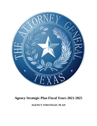

# **Agency Strategic Plan Fiscal Years 2021-2025**

**AGENCY STRATEGIC PLAN**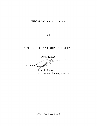# **FISCAL YEARS 2021 TO 2025**

**BY** 

# OFFICE OF THE ATTORNEY GENERAL

**JUNE 1, 2020** SIGNED:

Jeffrey C. Mateer First Assistant Attorney General

Office of the Attorney General  $\overline{2}$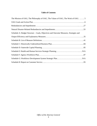## **Table of Contents**

| The Mission of OAG, The Philosophy of OAG, The Values of OAG, The Work of OAG.  5     |  |
|---------------------------------------------------------------------------------------|--|
|                                                                                       |  |
|                                                                                       |  |
|                                                                                       |  |
| Schedule A: Budget Structure – Goals, Objectives and Outcome Measures, Strategies and |  |
|                                                                                       |  |
|                                                                                       |  |
|                                                                                       |  |
|                                                                                       |  |
|                                                                                       |  |
|                                                                                       |  |
|                                                                                       |  |
|                                                                                       |  |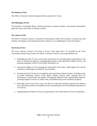#### **The Mission of OAG**

The Office of Attorney General champions liberty and justice for Texas.

#### **The Philosophy of OAG**

The principles of individual liberty, limited government, economic freedom, and personal responsibility guide the work of the Office of Attorney General.

#### **The Values of OAG**

The Office of Attorney General is committed to performing its duties with excellence, serving Texas with humility and integrity, and exploring innovative solutions in accomplishing the work of the agency.

#### **The Work of OAG**

The Texas Attorney General is the State of Texas's chief legal officer. As provided by the Texas Constitution and governing statutes, the Office of Attorney General's main responsibilities are:

- Defending the State of Texas and its duly enacted laws by providing legal representation to the State, its officials and agencies, rendering legal opinions, reviewing bonds of public security, and ensuring compliance with the Texas Public Information Act.
- Serving the children of Texas through the enforcement of the state's child support laws and the collection of child support on behalf of Texas families.
- Securing justice for Texans by investigating and prosecuting criminal activities, including crimes of human trafficking, internet crimes against children, election fraud, assisting local law enforcement in prosecutions and appeals, investigating Medicaid fraud, apprehending fugitives, providing support to victims of violent crime, and administering victim assistance programs.
- Protecting Texans from fraud, waste, and abuse by enforcing consumer protection and antitrust laws, educating consumers on fraudulent scams, and seeking recovery from Medicaid fraudsters in civil actions.
- Safeguarding the freedoms of Texans as guaranteed by the United States and Texas constitutions.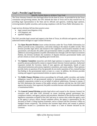## **Goal 1. Provide Legal Services**

## Specific Action Items to Achieve Your Goal

The Texas Attorney General is the chief legal officer for the State of Texas. As provided for by the Texas constitution and governing statutes, the OAG defends the State of Texas and its duly enacted laws by providing legal representation to the State and its officials and agencies, rendering legal opinions, reviewing bonds of public securities, and securing compliance with the Texas Public Information Act.

Legal services divisions fall into three practice areas:

- legal counsel (non-litigation civil),
- civil litigation, and
- appellate litigation.

The OAG provides legal counsel and support to the State of Texas, its officials and agencies, and other authorized entities through its Legal Counsel Divisions.

- The **Open Records Division** issues written decisions under the Texas Public Information Act (PIA) to provide access, transparency, and clarity relating to the release of public records. This division provides legal advice and research to the Legislative and Executive branches of state government; and educates the public and governmental entities on public information laws. In addition to answering questions on public information laws through a toll-free Open Government Hotline, the division facilitates the resolution of disputes between governmental bodies and private citizens as issues arise regarding open records laws.
- The **Opinion Committee** researches and drafts legal opinions in response to questions of law posed by persons authorized by statute to request formal Attorney General opinions. Authorized requestors include the Governor, heads of state agencies and departments, boards of state educational institutions and systems, legislative committees, and county auditors. These opinions provide clarity on questions of law but generally do not resolve questions of fact, instead leaving fact-finding to the governmental entity at issue or a court. In addition, the division provides training and support to governmental entities on opens meetings laws.
- The **Public Finance Division** reviews proceedings for all bonds, public securities, and similar obligations issued by all governmental entities or instrumentalities of the State and certain nonprofit corporations created to act on behalf of political subdivisions. Pursuant to statute, if the OAG determines the issuance of the public security conforms with the law, the OAG shall approve the security. Once approved, the public securities become valid and incontestable absent a constitutional defect.
- The **General Counsel Division** provides legal advice and counsel to the Attorney General, his executive staff, and other OAG divisions on issues involving general government law, compliance matters, and agency policies and procedures. Members of the division testify before legislative committees on behalf of the OAG and serve in various roles within the agency, such as the agency's privacy officer, formal complaint officer, the agency's representative for the Secretary of State's Voting Systems Examiners, and as a liaison with the Governor's Office on handgun license reciprocity. The division also oversees legal advice and counsel to political subdivisions located in a jurisdiction that is subject to a state of disaster declared by the Governor.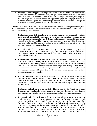• The **Legal Technical Support Division** provides internal support to the OAG through expertise in demographic and socioeconomic analysis, geographic information systems, and financial and statistical analysis. This capacity is used to provide detailed analysis for investigation, litigation, and OAG programs. The division provides this support through products ranging from statistical summaries, narrative reports, maps, multimedia presentations, and web sites, to the development of computer applications, databases, and database interfaces.

The OAG oversees the state's civil litigation matters and divides the matters among 12 Civil Litigation Divisions to cover both defense matters and enforcement cases that provide restitution for the State and its citizens when they have been harmed.

- The **Bankruptcy and Collections Division** serves as the centralized collection unit for the State and is statutorily charged with pursuing recovery of unpaid taxes, fees, fines, penalties, student loans, and other delinquent obligations. Division investigators seek to locate and identify parties responsible for the debt, and its attorneys pursue collection in state court. The division also represents the State and its agencies in bankruptcy cases filed in federal courts to protect both the State's monetary and regulatory interests.
- The **Civil Medicaid Fraud Division** investigates allegations of unlawful acts against the Medicaid program in order to pursue meritorious claims and recover taxpayer dollars. The majority of the cases derive from private whistleblower lawsuits filed under seal in which the State is allowed to intervene.
- The **Consumer Protection Division** conducts investigations and files civil lawsuits to enforce state and federal laws protecting consumers and the business community. These laws address data breaches and other privacy issues, health care fraud, robocalls, debt collection, motor fuels issues, and a wide variety of scams involving deceptive trade practices. During a natural disaster, the division investigates and prosecutes price gouging. The division also accepts complaints filed by consumers, partners with other state and federal enforcement agencies, and conducts community outreach and education.
- The **Environmental Protection Division** represents the State and its agencies in matters pertaining to environmental protection, natural resources, and public utilities. The division provides legal counsel to state agencies in environmental and utility matters and prosecutes and defends cases in state and federal courts and in administrative proceedings at both the trial and appellate levels.
- The **Transportation Division** is responsible for litigation involving the Texas Department of Transportation, which includes eminent domain, tort claims, employment, property damage, environmental, intellectual property, collections, contract claims, and administrative cases.
- The **Administrative Law Division** provides representation and legal services to state agencies in administrative law matters and administrative procedures, defends the State in court, and provides general legal counsel to multiple small state agencies and boards that do not employ their own in-house general counsel. The division defends legal challenges to Open Records Letter Rulings. In addition, the division brings enforcement actions in district court on behalf of state agencies and on behalf of the OAG in matters where the OAG has original enforcement jurisdiction, ensuring that local governments comply with state law. The division also takes legal action against long-term care providers such as nursing homes, intermediate care facilities for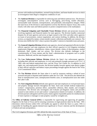persons with intellectual disabilities, assisted living facilities, and home-health services in which an investigation finds illegal or dangerous conditions of care.

- The **Antitrust Division** is responsible for enforcing state and federal antitrust laws. The division investigates anticompetitive activity such as bid-rigging, price-fixing, market allocation, unreasonable trade restraints, monopolization, and potentially anticompetitive mergers. While the main focus of the division is anticompetitive activity that directly impacts Texas, they work closely with other state and federal partners to protect competitiveness in the marketplace.
- The **Financial Litigation and Charitable Trusts Division** defends and prosecutes lawsuits involving regulatory and financial matters for state agencies. The division handles contractual disputes for all state agencies and serves as legal counsel to the OAG and other select agencies on issues of procurement, contract negotiation, and contract drafting. In addition, the division reviews, as required by statute, certain outside counsel, collections and health care contracts. The division also fulfills the OAG's duty to protect the public's interest in charitable trusts and assets.
- The **General Litigation Division** defends state agencies, elected and appointed officials (in their official capacity), and state employees (in their official capacity) in civil litigation including employment litigation, whistleblower claims, tenure denials, claims of discrimination, student dismissals, libel, slander, and tort actions. The division also defends challenges to the constitutionality of Texas statutes and the State's administration of programs such as public education, Medicaid, and the state hospital system.
- The **Law Enforcement Defense Division** defends the State's law enforcement agencies, including their officials and employees, in civil suits primarily brought pursuant to 42 U.S.C. § 1983, state and federal employment laws, and the Texas Tort Claims Act. In addition to civil rights, tort, and employment lawsuits, the division handles lawsuits against state district judges in their official capacities and habeas corpus proceedings brought against the head of the Texas Civil Commitment Office.
- The **Tax Division** defends the State when it is sued by taxpayers seeking a refund of taxes assessed and paid or disputed audit liabilities under the Tax Code. The division also defends the State in unemployment cases, unemployment benefits cases, or unemployment taxes due under the Labor Code.
- The **Tort Litigation Division** defends state agencies and state employees in civil personal injury and property damage lawsuits throughout the State. Such suits include medical malpractice, workers' compensation, premises defect, automobile collisions, libel, slander, and wrongful termination. The division also investigates and evaluates pre-litigation claims and provides counsel to state entities on tort and workers' compensation-related civil matters. In addition, the division pursues subrogation and first-party claims against responsible parties for reimbursement of state expenses or damages to state property caused by wrongful acts.

The **Office of Solicitor General (OSG**) is responsible for supervising and approving all appellate litigation for the State of Texas and for ensuring consistency in legal positions taken by the State. OSG determines which division within OAG will handle any appeal to which the State is a party. OSG is responsible for handling the appeals deemed most significant to Texas's interests and the development of federal and state jurisprudence.

The Civil Litigation Divisions and OSG defend the duly-enacted laws of the State of Texas.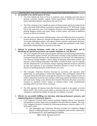## Describe How Your Goal or Action Items Support Each Statewide Objective

- **1. Accountable to tax and fee payers of Texas.**
	- The OAG defends the State of Texas in numerous cases, including cases that seek to promote economic freedom, support limited government, defend the Constitution, protect individual liberties, and preserve the rule of law.
	- The OAG continues to be a significant source of both revenue and fiscal savings for the state, with nearly \$300 million recovered to General Revenue in FY 2019 alone. At the end of this past fiscal year, Civil Litigation Divisions were managing almost 34,000 pending litigation matters and claims. Many of these matters will result in additional revenue as claims are resolved.
	- Over the course of the Paxton Administration, close to \$1 billion has been recovered to General Revenue., Moreover, through pre-litigation advice and the defense of the state in lawsuits challenging statutes, state agency actions, contracts, employment decisions, and other civil claims, OAG has successfully avoided and minimized costly claims (potentially totaling billions in exposure to the state).
- **2. Efficient by producing maximum results with no waste of taxpayer funds and by identifying any function or provision you consider redundant or cost-effective.**
	- The Civil Litigation Divisions achieved greater efficiency by transferring responsibility for enforcement against licensed and unlicensed Assisted Living Facilities from the Consumer Protection Division to the Administrative Law Division. The Administrative Law Division already handled a robust docket of licensing enforcement matters and enjoyed a solid working relationship with HHSC. Transfer of these cases fit naturally into the Administrative Law Division without requiring additional resources and freed up time and resources in the Consumer Protection Division to focus on their core function of handling Deceptive Trade Practices Act cases.
	- The Consumer Protective Division increased its recoveries and injunctive relief significantly by participating in multi-state litigation. This participation allowed the Consumer Protection Division to leverage the resources of a large coalition of states to achieve substantial recoveries and consumer relief using reduced investment of money and work hours. Doing so has allowed the Consumer Protection Division to use their resources to maximize Texas's impact on national matters while simultaneously providing relief to far more Texas consumers.
	- The OSG approves all requests from other division to appeal, to not appeal, or to join amicus briefs. This review process helps to maximize the use of state funds, ensure consistency, and limit the number of cases that are unlikely to succeed.
- **3. Effective by successfully fulfilling core functions, achieving performance measures, and implementing plans to continuously improve.**
	- Civil Litigation's division chiefs evaluate caseloads, litigation history, core functions, and operations to ensure legal cases are handled in the most effective manner. The OAG Civil Litigation Divisions exceeded the following performance measure targets in FY 2018 and FY 2019.
		- o The Bankruptcy and Collections Division exceeded the Legislative Budget Board's (LBB) performance measure of delinquent state revenue collected by 66.54 percent in FY 2019 reporting \$74.9 million.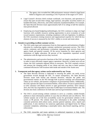- o The agency also exceeded the LBB performance measure related to legal hours billed to litigation and counseling at 103.79 percent of the target in FY 2019.
- Legal Counsel's division chiefs evaluate workloads, core functions, and operations to ensure that open records letter rulings, legal opinions, and public securities matters are handled efficiently, effectively, and within statutorily-mandated deadlines. For example, the Open Records Division issues approximately half of its rulings in half the statutory time-period allowed.
- Employing zero-based budgeting methodologies, the OAG continues to align core legal functions with available resources seeking opportunities to pivot economies of scale toward statutory requirements, including compliance with new legislation. In addition, the OAG maximizes existing resources and organizational expertise for which the key element of success is measured by the OAG's ability to recruit and retain talent.

#### **4. Attentive to providing excellent customer service.**

- The OAG seeks input and commentary from its client agencies and institutions of higher education by conducting regular customer satisfaction assessment surveys. The OAG solicits comments and performance evaluations regarding legal services from state agency heads and general counsels. Of the survey responses by client agencies and institutions of higher education, 98 percent of the respondents expressed overall satisfaction with the legal services they received.
- The administrative and executive functions of the OAG are largely centralized in Austin in order to more efficiently support agency operations. However, to better serve all our clients, the OAG maintains regional offices as necessary. The OAG routinely reviews and assesses the changing needs of our clients and uses case data to better position continued efficiencies with locations both inside and outside of the Austin area.

#### **5. Transparent such that agency actions can be understood by any Texan.**

- The Open Records Division is dedicated to ensuring the public can easily access government records through the PIA. To ensure transparency, the Open Records Division issues both formal and informal decisions, educates the public and governmental entities on the PIA through both in-person trainings and informational videos on our website, and monitors compliance of governmental entities. Additionally, the OAG operates the Open Government Hotline, which allows Texans to speak directly to OAG attorneys and obtain answers to open government questions. Since January 2015, the OAG has responded to more than 55,000 Open Government Hotline calls. The division also hosts conferences for both state and local governmental entities.
- The OAG's award-winning website continues to serve as a modern, mobile-friendly platform to share information publicly in ways that are efficient and cost effective. The website sustains one of the best accessibility scores for government websites in the county at 98 percent. The website shares key information to the public including consumer protection alerts about scams, attorney general opinions, news, reports and publications. It also interfaces for numerous applications and digital forms for filing consumer complaints, submitting a catastrophe notice, data breach reporting, and law enforcement.
- The OAG researches and issues opinions to authorized requestors to help clarify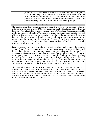questions of law. To help ensure the public can easily access and monitor the opinions process, requests for opinion are published in the Texas Register when received and are posted on the internet when issued. The OAG also provides an e-mail notification when opinions are issued for individuals who subscribe to such notifications. Information on opinions and past opinions can be found at: www.texasattorneygeneral.gov.

#### Information Resources Planning

The use of technology in providing legal services is constantly evolving in ways that increase efficiency and enhance service delivery at the OAG, while maintaining security. The physical work environment has pivoted from a fixed office to an ever-changing variety of offices in the field, courtrooms, and in employees' homes via teleworking. Technologies to securely enable this remote work for increased efficiency, effectiveness, and business continuity will continue to be improved upon. There is an increased adoption of cloud-based tools for secure collaborative work management, content management, digital signature, and sharing data and information. Given the requirements of a modern workplace, there is a critical need for optimized networks and increased bandwidth to meet rapidly changing demands for new applications.

Legal case management systems are continuously being improved upon to keep up with the increasing volume of case information. Improvements to track and manage attorney caseloads, deadlines, record hours, and optimize workflow are paramount. Attorneys and legal assistants require secure, real-time access to case information from wherever they are working. Systems will be modernized for several divisions that continue to utilize legacy systems to provide this flexibility, so information is both retrievable and secure no matter where or when it is accessed. Secure collaboration and exchange of documents between both internal and external parties will drive efficiencies and continue to adapt to a more modern way of working. In addition, the OAG will modernize its legal billing and timekeeping systems to integrate with the Centralized Accounting and Payroll/Personnel System (CAPPS).

The OAG will continue to empower its attorneys and legal assistants with modern cloud-based eDiscovery platform capabilities to deliver early case assessment, highly scalable processing, and the efficient review and production of eDiscovery data. There is substantially more data in eDiscovery from cameras, recordings, online video streaming sites, and social media which are all potential sources of discoverable content. Because of this shift, responding to eDiscovery requests requires capabilities and greater investment from modern, robust platforms.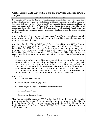# **Goal 2. Enforce Child Support Laws and Ensure Proper Collection of Child Support**

Specific Action Items to Achieve Your Goal By statute, the OAG serves the children of Texas through enforcement of the state's child support laws and the collection of child support on behalf of Texas families. All states that receive federal funding for Temporary Assistance for Needy Families (TANF) are required to have a centralized child support collections program under Title IV, Part D (IV-D) of the Federal Social Security Act. The cost of operating the Texas Child Support Division (CSD) is more than two-thirds federally funded. In addition, the OAG earns federal performance incentive funds that are distributed to states that excel at collecting child support.

Apart from the federal funds that support the program, the State of Texas benefits from a nationally recognized program that is both efficient and effective in collecting child support, helping to ensure that parents pay to support their children.

According to the federal Office of Child Support Enforcement Federal Fiscal Year (FFY) 2018 Annual Report to Congress, Texas led the nation by collecting more than \$4.35 billion in Child Support for Federal Fiscal Year 2018. According to the OAG's most recent statutorily-required cost avoidance report, the CSD allowed taxpayers to avoid more than \$1.6 billion in TANF, Medicaid, and other costs in State Fiscal Year (FY) 2018. As a result, the CSD saved more than a billion dollars for taxpayers. More importantly, the CSD ensures that Texas children have the resources they need to grow healthy and strong.

1. The CSD is designated as the state child support program which assists parents in obtaining financial support for children pursuant to the Code of Federal Regulations (45 CFR 302) and the Texas Family Code (Chapter 231). To encourage parental responsibility, the CSD establishes paternity for children, obtains court orders for financial and medical support, and vigorously enforces child support orders. The CSD works with public and private entities to promote the involvement of both parents in the life of the child. The CSD staff perform their duties in an efficient manner and provides excellent customer service. The CSD caseload at the end of SFY 2019 was 1.5 million cases.

Overall Duties:

- Locating Non-Custodial Parents
- Establishing and Acknowledging Paternity
- Establishing and Modifying Child and Medical Support Orders
- Enforcing Support Orders
- Collecting and Disbursing Support

These functions are fulfilled through the CSD Field Operations Division and through a series of familycentered programs that encourage Texas parents to take an active, responsible role in their children's lives: Parenting and Paternity Awareness (p.a.p.a.), Noncustodial Parent (NCP) Choices, Helping Establish Responsive Orders Ensuring Support (HEROES), Get Child Support Safely, and the Access and Visitation Program.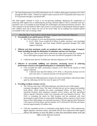2. The State Disbursement Unit (SDU) distributed over 22.2 million child support payments in FY 2019 through the SDU vendor. Federal law requires states to process all IV-D payments and certain non-IV-D payments through a centralized SDU.

The child support caseload in Texas is an ever-growing challenge. Balancing the complexities of enforcing child support laws to addressing the growing caseload requires CSD to constantly seek new and better ways to accomplish its goal through new technologies and improved business practices. The CSD continues to be the model for other states on how to assist parents in obtaining the financial support their children need and to reduce the cost of the social safety net by holding non-custodial parents accountable to the costs of raising a child.

#### Describe How Your Goal or Action Items Support Each Statewide Objective

- **1. Accountable to tax and fee payers of Texas.**
	- The CSD continues to excel and demonstrate exceptional performance:
		- o In FY 2018, Texas avoided \$1.6 billion in public assistance costs (including TANF, Medicaid, and Food Stamp (SNAP) payments) through CSD child support collections.
- **2. Efficient such that maximum results are produced with a minimum waste of taxpayer funds, including through the elimination of redundant and non-core functions.**
	- The efficiency ratio of total dollars collected per dollar spent exceeds \$12, making the Texas child support program one of the most cost-effective programs in the nation.
	- Collected more than \$1.76 million per full-time employee in FY 2019.
- **3. Effective in successfully fulfilling core functions, measuring success in achieving performance measures and implementing plans to continuously improve.**
	- CSD exceeded the LBB's performance measure in FY 2019 for the amount of child support collected.
		- o Collected more than \$4.4 billion in FY 2019, a 1.49 percent increase over the prior year and a 11.2 percent increase over the past five years.
	- CSD exceeds the LBB performance measure for ratio of total dollars collected per dollar spent by collecting over \$12 for every \$1 spent in FY 2019.

## **4. Providing excellent customer service.**

- The CSD has more than 2,200 field employees who directly serve child support customers throughout Texas. The State is divided into ten service regions and multiple local offices, which includes five metro consolidated offices, 32 field offices, 37 storefront locations, three enterprise customer service centers, and four specialized offices; Special Collections, Foster Care, Interstate and Case Initiation Services. The OAG is evaluating the needs for field locations and has partnered with local governments to place kiosks in certain public buildings to allow a parent to check on the status of their child support case and make payments. CSD also operates three Enterprise Call Centers in El Paso, Pharr, and San Antonio. In FY 2018 and FY 2019 the call centers received approximately 6.9 million calls.
- CSD also expanded services to constituents using digital services. Web conferencing, digital signature, electronic notary, and mobile devices have empowered child support officers and attorneys to serve the public in times that necessitated remote work and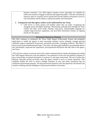business continuity. Live child support customer service specialists are available for online chat sessions to engage in outreach and support the public. CSD also continuously improves upon its customer service portals that provide families and partners access to case information and the ability to upload documents and information.

#### **5. Transparent such that agency actions can be understood by any Texan.**

• CSD strives to meets parents and families where they are today, recognizing the changing social and digital landscape. Maximizing communication through the OAG website and other social media channels using plain, understandable language for complex legal processes, legislation, and up-to-date information remains an ongoing priority for the agency.

### Information Resources Planning

The OAG continues to modernize the Texas Child Support Enforcement System and peripheral applications to enable the agency to meet increasing customer service demands, manage growing caseloads, improve automation of processes, and attract and retain a changing workforce. This effort is known as the System Modernization Project. The OAG will utilize agile methods to incrementally deliver new functionality, improved user experiences, and operational efficiencies that add value to the agency and Texas.

CSD will also continue to innovate and evolve online communication by further developing and scaling the Child Support Interactive web chat platform. User preference of the web chat platform continues to grow and provides an optimal alternative to in-person or call center interactions. The use of online chat platform especially proved successful when the agency needed to move to remote operations. This capability enables the OAG to service multiple customers at once and utilize interaction logs for continuous improvement purposes. The data and lessons learned in web chat operations will advance and extend to utilizing artificial intelligence (AI) powered chatbots in the future.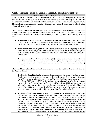## **Goal 3. Securing Justice by Criminal Prosecutions and Investigations**

Specific Action Items to Achieve Your Goal

A key component of the OAG's mission is to secure justice for Texans by investigating and prosecuting criminal activities, including crimes of murder, human trafficking, internet crimes against children, and election fraud. The OAG also assists local law enforcement in prosecutions and appeals, investigates Medicaid fraud, apprehends fugitives, and provides support to victims of violent crime by administering victim assistance programs.

The **Criminal Prosecutions Division (CPD)** has three sections that aid local jurisdictions where the county prosecutors may not have the expertise or the resources available to investigate or prosecute a complex case or a conflict of interest prohibits the local jurisdiction's prosecutors from taking part in the case.

- The **White-Collar Crime and Public Integrity Section** handles a variety of public corruption cases, often with a public official being an alleged offender. Additionally, the section handles the prosecution of major white-collar crimes, such as fraud, money laundering, and theft.
- The **Violent Crime and Major Offender Section** specializes in prosecuting complex violent criminal offenses including capital murders and cold cases. The section also handles all types of sexual offenses, including sexual assault of adults and children, child pornography and cybercrimes cases.
- The **Juvenile Justice Intervention Section** (JCI) provides assistance and information on juvenile crime issues to local law enforcement through maintaining the gang information database and providing training to law enforcement personnel and school officials about gang activities.

The **Special Prosecutions Division (SPD**) is composed of two sections which reflect key priorities for the Attorney General.

- The **Election Fraud Section** investigates and prosecutes ever-increasing allegations of voter fraud. Secure elections are the cornerstone of a thriving democracy. Election fraud referrals to the OAG increased steadily in the past two years. Thanks to significant improvements in the law from Senate Bill 5 from the 2017 special session, this pace of growth in referrals continues to increase. The OAG received funding from the legislature in the 2019 session to add two additional prosecutors, four investigators, and essential support staff to partially address this growth. The addition of new personnel shifted the average caseload to 8-9 cases per investigator, as election fraud cases are usually highly complex and involve multiple offenders.
- The **Human Trafficking Section** prosecutes all types of human trafficking both adult and child, and both labor and sex trafficking. In addition to criminal remedies, the section employs civil attorneys who use the civil racketeering statute to seek civil remedies against traffickers. Texas has the unfortunate distinction of being second in the nation in most reported human trafficking cases. The OAG's Human Trafficking Section developed a training video, "Be the One in the Fight Against Human Trafficking" to help inform and empower Texans to report and combat this terrible crime. The OAG provided the video to all state agencies and secured commitments from numerous state-wide elected officials and state agencies to implement the video when training their employees. This section is responsible for facilitating two multi-agency and multi-disciplinary groups joined to combat the crime of trafficking: the Statewide Human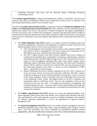Trafficking Prevention Task Force, and the Statewide Human Trafficking Prevention Coordinating Council.

The **Criminal Appeals Division** is charged with defending the validity of state felony convictions and sentences when they are challenged in federal courts through direct review in the U.S. Supreme Court and through federal habeas corpus review in federal courts.

The OAG **Law Enforcement Division (LED),** is comprised of both the **Criminal Investigations Unit (CID)** and the **Medicaid Fraud Control Unit (MFCU)**. LED is staffed by over 210 commissioned peace officers and conducts both reactive and proactive criminal investigations and fugitive apprehensions. CID has four primary units in which OAG investigators' experience and specialized skill sets fulfill an underserved area and need within the law enforcement community. Within each unit there are specialized sections that are a component of each unit to address both underserved law enforcement niches and OAG initiatives.

- The **Child Exploitation Unit (CEU)** mission is to conduct criminal investigations and arrest individuals regarding the sexual abuse and exploitation of children by means of electronic and internet facilitated crimes as well as cases involving live victims.
	- o CEU is the headquarters for the Southern Texas Internet Crimes Against Children Task Force (ICAC), which is responsible for 134 Texas Counties and is comprised of over 450 affiliate local, state, and federal law enforcement agencies.
	- o The CEU's Digital Forensics Unit (DFU) locates, identifies and extracts evidence of criminal activity through forensic examinations of computers, cellular phones, vehicular infotainment systems, and other digital storage devices. DFU performs this mission in support of OAG investigations regarding white collar crimes, public integrity, money laundering, human trafficking, election fraud, homicide, and child sexual exploitation offenses. DFU is relied up on heavily by not only the OAG, but also municipal and state law enforcement agencies across Texas, as well as the Texas Department of Public Safety – specifically, the Texas Rangers.
	- o Human Trafficking Unit (HTU) is another component of the CEU. HTU's mission is to locate and rescue victims of sexual and forced labor trafficking. The HTU conducts criminal investigations of human trafficking offenses involving force, fraud, or coercion of the victims, regardless of age or nationality and arrests individuals who are involved in the trafficking of these victims. The highest priority of the HTU is domestic and international child sex trafficking victims. This size and complexity of this unit has increased over the past four years. It is engaged in prosecutions, investigations, and training throughout the state. As the state gains a better understanding of the depth and complexity of a typical human trafficking case, we anticipate increased reliance on OAG resources for assistance.
- The **Fugitive Apprehension Unit (FAU)** mission is to locate and apprehend fugitives from justice regarding violent crimes and sexual offenses. FAU conducts joint operations with local, state, and federal law enforcement agencies to ensure sex offender compliance with mandated sex offender registration requirements, as well as the apprehension of high-risk fugitives throughout Texas.
- The **Special Investigations Unit (SIU)** mission is to conduct criminal investigations and arrest individuals regarding various white-collar crimes, money laundering, public integrity, election fraud, "cold case" homicides, and crimes committed by transnational organized criminal organizations. The SIU provides direct assistance to the OAG Criminal Prosecutions Division.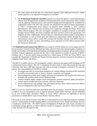SIU often assists local and state law enforcement agencies when additional resources, subject matter expertise or an impartial investigation is warranted.

• The **Professional Standards Unit (PSU)** mission is to ensure the agency's commissioned peace officers meet all legislatively mandated continuing education courses and policies. PSU is tasked with the applicant selection process and extensive background investigations for candidates for employment within CID. PSU also oversees and administers the physical fitness requirements of OAG's commissioned peace officers as required under Schedule C. PSU conducts administrative and criminal cases involving OAG employees through the Fraud, Waste, and Abuse referral program. PSU also investigates complaints of wrongful exclusion of concealed handgun license holders and refers complaints that have not been cured to the appropriate civil litigation division. Additionally, PSU provides law enforcement related assistance and guidance to constituents, as well as local, state, and federal law enforcement entities through the Law Enforcement Liaison officer. Lastly PSU oversees the Facilities Security Unit (FSU) which is tasked with the safety, security, and building access operations of OAG offices housed within the downtown Austin area.

The **Medicaid Fraud Control Unit (MFCU)** was created in 1979 by federal law to investigate and refer for prosecution criminal fraud by Medicaid providers, physical abuse and criminal neglect of patients in health care facilities receiving Medicaid funding, and misappropriation of patients' private funds in these facilities. Federal regulations provide that the state is only required to provide 25 percent of MFCU funding with a 75 percent match being provided by a federal grant. In 2018, the Texas MFCU was awarded the Department of Health and Human Services Inspector General's Award for Excellence in Fighting Fraud, Waste, and Abuse.

The MFCU is staffed with over 165 investigators, auditors, attorneys and support staff including over 90 commissioned peace officers. The unit is comprised of twelve teams in nine cities around the state and maintains more than 1,300 open cases per year with an average investigative caseload of 18 cases per person. Key responsibilities of the MFCU include:

- Investigate and refer for prosecution allegations of criminal offenses involving fraud committed by health care providers such as doctors, dentists, counselors, and hospitals.
- Pursue allegations of elder abuse, neglect and financial exploitation and drug diversion that occur in health care facilities which receive Medicaid funds.
- Conduct detailed, highly complex fraud investigations, perform exhaustive audits and analyses, execute search warrants and arrest warrants, and serve subpoenas.
- Work collaboratively with multiple state and federal partners. Peace officers from each MFCU team are designated as FBI Task Force Officers.

MFCU's cases are referred to both state and federal courts for prosecution. Assistant Attorney Generals in MFCU are cross designated to serve as Special Assistant United States Attorneys and are embedded in all four United States Attorney's Offices in Texas. MFCU attorneys are appointed as special prosecutors to handle MFCU cases in local District Attorney offices.

The scope of work and the structure of the MFCU is determined by twelve federal performance standards and by a memorandum of understanding (MOU) executed between Texas Health and Human Services Commission and the OAG. This MOU ensures investigations of Medicaid waste, fraud, and abuse are coordinated among agencies to deliver effective results for taxpayers, pursuant to Texas Government Code, Sections 531.103 and 531.104.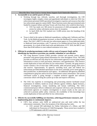## Describe How Your Goal or Action Items Support Each Statewide Objective

- **1. Accountable to tax and fee payers of Texas.**
	- Working through tips, referrals, searches, and thorough investigations, the CID investigates highly complex crimes and apprehends individuals in which the OAG law enforcement personnel fulfill specialized investigative expertise and resources that other law enforcement agencies cannot fulfill. These functions assist other governmental units funded by taxpayer dollars and keep Texans safe from those who would do them harm.
		- o CEU has made over 360 arrests for possession of child pornography and 269 arrests for online solicitation arrests since its inception.
		- o In April 2020, the FAU marked over 12,000 arrests since the founding of the unit in 2003.
	- Texas is third in the nation in Medicaid expenditures, trailing only California and New York. As the Medicaid population increases, so does the likelihood for waste, fraud, and abuse. The OAG's MFCU is the only law enforcement agency in Texas dedicated solely to Medicaid fraud prevention, with 75 percent of its funding derived from the federal government. As a result of their hard work and dedications, in FY 2019, the MFCU saw more than \$140 million in court ordered restitution in its cases.

#### **2. Efficient by producing maximum results with no waste of taxpayer funds and by identifying any function or provision you consider redundant or cost-effective.**

- The Gang Resource System (GRS) provides criminal and juvenile justice agency personnel with general gang-related information for cities throughout Texas. The GRS provides an efficient one-stop shop for law enforcement agencies to access gang related information to assist in crime prevention, deterrence, and apprehensions. This resource avoids duplication of time and effort for law enforcement. Currently, the gang resource system contains a list of more than 3,000 juvenile, adult and prison gangs, both active and inactive. Approximately 76 agencies, including local, state and federal law enforcement provided detailed information on the most criminally active street gangs in their jurisdictions, as determined by each agency. An additional 189 agencies submitted comprehensive gang lists and/or local law enforcement contact information. The current web-based system is going through a complete technical upgrade and software conversion which will bring the system up to date and improve efficiency.
- The OAG has expertise in investigating and prosecuting internet facilitated sexual exploitation of children, hands-on sexual offenses against children, digital forensics, financial investigations, money laundering and human trafficking. The OAG commissioned peace officers collaborate and cooperate with local, state and federal law enforcement agencies on complex investigations to ensure results on the cases are achieved to promote public safety. Likewise, the availability of this knowledge base avoids duplication of time and effort for law enforcement.
- **3. Effective by successfully fulfilling core functions, achieving performance measures, and implementing plans to continuously improve.**
	- CID's four primary units fulfill an underserved area and need within the law enforcement community. Since the inception of the following four units:
		- o CEU arrested 269 individuals for Online Solicitation of a Minor, and 360 individuals for Possession of Child Pornography. Those arrests have resulted in 1,370 indictments with 813 convictions.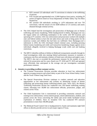- o HTU arrested 125 individuals with 75 convictions in relation to the trafficking of persons.
- o FAU located and apprehended over 12,000 fugitives from justice, including 29 arrests of fugitives listed on Texas Department of Public Safety Top Ten Most Wanted list.
- o SIU arrested 550 individuals resulting in 1,470 indictments and over 750 convictions, with the seizure of over \$200 million in U.S currency and assets obtained through criminal activity.
- The OAG helped lead the investigation and prosecution of Backpage.com on human trafficking and money laundering. While headquartered in Dallas, Backpage.com was the largest online sex trafficking marketplace in the world, with 943 locations and operating in 97 countries. OAG law enforcement and prosecutors worked with multiple state and federal entities to have the site taken down and work to bring justice for the numerous women and children that had been sex trafficked. Since Backpage.com's indictment in 2018, the OAG developed related criminal cases, including pursuing federal money laundering and credit card transaction laundering charges against seven individuals allegedly involved in helping Backpage evade credit card and banking restrictions.
- The MFCU identifies millions of dollars in Medicaid overpayments annually through its fraud investigations while also meeting federal performance measures to maintain a continuous case flow and maintain a balance of fraud cases with abuse and neglect cases. The MFCU also met or exceeded the performance measure for the number of cases referred for prosecution and for cases closed over FY 2018 and FY 2019 and operated more efficiently than anticipated in the average cost per investigation concluded performance measure.

## **4. Attentive to providing excellent customer service.**

- The Criminal Prosecutions Division provides education to local law enforcement agencies on gang resources and school safety as part of the Texas School Safety Center and the Texas Violent Gang Task Force.
- The Special Prosecutions Division continues to conduct outreach and education opportunities to law enforcement and civilians on identifying victims of human trafficking and prosecuting human trafficking-related cases. Since 2015, the Human Trafficking Prosecution Section has conducted over 350 human trafficking training classes, educating over 30,000 law enforcement officials, prosecutors, judges, and citizens across Texas.
- The Child Exploitation Unit is instrumental in providing community outreach and training to law enforcement, various interest groups, school administrators, students, and parents across the Texas concerning the online and social media facilitated sexual exploitation of children. Since its inception CEU has conducted 970 outreach presentations to more than 168,460 people.
- The Medicaid Fraud Control Unit is headquartered in Austin and maintains eight field offices to directly provide service in each major region of Texas.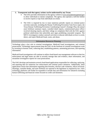#### **5. Transparent such that agency actions can be understood by any Texan.**

- The OAG provides information on the agency website at www.texasattorneygeneral.gov to allow individuals to initiate complaints. The agency also operates a toll-free hotline to receive reports or tips from individuals on crimes.
- The OAG is required by law to issue numerous periodic reports on criminal justice activities statewide, including the Human Trafficking Prevention Task Force report, the Texas Human Trafficking Prevention Coordinating Council's Strategic Plan, the annual asset forfeiture summary report, custodial death reports, commissioned peace officer involved shooting reports, and letter rulings on complaints filed with the OAG against political subdivisions that unlawfully post signs prohibiting concealed weapons. The MFCU investigators conduct outreach activities to educate individuals on how to avoid, detect, and report Medicaid fraud, waste, and abuse.

#### Information Resources Planning

Technology plays a key role in criminal investigations, Medicaid fraud investigations, and criminal prosecutions. Technology improvements keep the OAG on the forefront of criminal investigations work by investing in forensic tools, collecting data, establishing patterns, automating processes, and reporting information.

Medicaid fraud investigations will continue to utilize cloud-based case management software so that law enforcement and legal teams are able to securely manage data and evidence, share information, and streamline investigative reports for court prosecutions.

The OAG develops and maintains several cloud-based applications responsible for collecting, analyzing, and reporting data for numerous law enforcement and criminal justice initiatives. Additionally, these applications ensure that information regarding data breaches, election code violations, officer-involvedshootings, custodial deaths, and asset forfeiture are reported to the legislature as required by law. OAG technology platforms will further be expanded to include data and information for initiatives including human trafficking and financial crimes focused on credit card skimmers.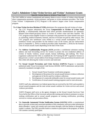# **Goal 4. Administer Crime Victim Services and Victims' Assistance Grants**

Specific Action Items to Achieve Your Goal

The OAG fulfills its various constitutional and statutory duties to serve victims of violent crime through direct compensation payments, victim assistance, and grants to victim assistance providers. The Texas Crime Victims' Compensation (CVC) Program is the nation's largest crime victim compensation program.

The **Crime Victim Services Division (CVSD)** administers five programs that aid victims of crime.

- The CVC Program administers the Texas **Compensation to Victims of Crime Fund (CVCF)**, a constitutionally dedicated fund which provides reimbursement for statutorily defined crime-related pecuniary losses to victims of violent crime and their families. The CVC program assists eligible victims or claimants with payments for crime-related costs such as counseling, medical treatment, funerals, and loss of income not paid by other sources. The CVC program also reimburses costs related to a sexual assault examination. CVC can reimburse victims and providers for the medical costs of the exams; and law enforcement (prior to September 1, 2019) or medical providers (after September 1, 2019) for the forensic costs of sexual assault exams depending on the date of the exam.
- The **Address Confidentiality Program (ACP)** provides a confidential substitute mailing address and mail forwarding service for victims to protect the true residential address of victims of family violence, sexual assault, human trafficking, and stalking. The Texas Legislature authorized the OAG to establish the ACP during the 80<sup>th</sup> Legislative Session to help prevent a victim's actual address from being revealed in state government documents and files while still allowing the victim to receive and send mail.
- The **Sexual Assault Prevention and Crisis Services (SAPCS)** Program is statutorily authorized under Texas Government Code Section 420.004. SAPCS administers and provides statutorily mandated oversight of the:
	- 1. Sexual Assault Nurse Examiner certification program;
	- 2. Development of the protocol for sexual assault forensic evidence collection and approval of the kit used for evidence collection;
	- 3. Development of a statewide telehealth center for sexual assault exams; and
	- 4. Certification of sexual assault training programs used to train advocates.

SAPCS staff also administer two federal grants that are received by the OAG and awarded to sexual assault programs and the state sexual assault coalition for victim services and sexual violence prevention.

SAPCS Program staff serve as the agency designee on the Sexual Assault Survivors Task Force led by the Office of the Governor and provide training and technical assistance to nurses seeking certification and to sexual assault programs on training certification, providing services to victims and prevention efforts.

• The **Statewide Automated Victim Notification System (SAVNS)** fulfills a constitutional duty to provide victims and concerned members of the community with up-to-date information about offenders' county jail custody and court status through a toll-free hotline or through the vendor's website. The OAG provides funds to counties to participate in the program, of which 150 counties currently participate.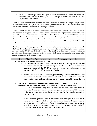• The CVSD provides programmatic expertise for the victim-related services on the victim assistance grants that are awarded by the OAG through appropriations dedicated by the Legislature for that purpose.

The CVSD is mandated to develop and distribute to law enforcement agencies the pseudonym forms for victims of sexual assault, family violence, stalking, and human trafficking who wish to remove their names from public files and records concerning the offense.

The CVSD and Grants Administration Division work cooperatively to administer the victim assistance strategy by awarding grants and crime victim services contracts. The Legislature appropriates funds to the OAG to provide victims assistance grants for Victims Assistance Coordinators and Crime Victim Liaisons, Sexual Assault Prevention and Crisis Services Program, Legal Services Grants, Other Victims Assistance Grants, and Statewide Victim Notification System. The funds are appropriated from a mixture of general revenue, general revenue dedicated, and federal funds for FY 2020 and FY 2021.

The OAG works with the Comptroller of Public Accounts to forecast and certify estimates of the CVCF. The OAG also works with the Legislature to ensure it is aware of the impact that changing certain state laws may have on the CVCF. The legislative intent of the CVCF is to first, ensure victims of crime are provided financial assistance for crime-related expenses, which are not reimbursed by insurance or other sources, and second fund victim services.

### Describe How Your Goal or Action Items Support Each Statewide Objective

## **1. Accountable to tax and fee payers of Texas.**

- The CVSD report for the CVCF and Victims Assistance grants is published annually and available on the OAG website as required by statute. This report details the legislative history of the CVCF as well as tracking the performance of the constitutionally dedicated fund over recent fiscal years.
- As required by statute, the OAG biennially prior to each legislative session prepares a forecast and estimates for the CVCF in consultation with the Comptroller of Public Accounts to ensure the fund has a sufficient balance to pay CVC claims for eligible victims of crime.
- **2. Efficient by producing maximum results with no waste of taxpayer funds and by identifying any function or provision you consider redundant or cost-effective.**
	- The CVC Program continuously strives to streamline its business practices that collect information from victims and law enforcement agencies, determines eligibility, awards victim payments, and accounts for finances. A legal team handles appeals, subrogation, and restitution.
	- Victims assistance grants are administered using a request for proposal from entities that desire to pursue a grant, which is posted on the Texas Register. The grant process follows the procedures set forth in the Texas Uniform Grant and Contract Management Act (Chapter 783, Government Code), to minimize cost, duplication, and paperwork and to maximize the efficient and effective use of public funds.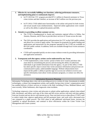- **3. Effective by successfully fulfilling core functions, achieving performance measures, and implementing plans to continuously improve.**
	- In FY 2019 the CVC program provided \$72.1 million in financial assistance to Texas crime victims and their families, an increase of \$4.5 million over the previous year.
	- In FY 2019, CVSD added more functionality to the online web portal for both victims and sexual assault exam reimbursements. Improved online applications were created as well as the ability to upload documents and bills.

## **4. Attentive to providing excellent customer service.**

- The CVSD is headquartered in Austin and maintains regional offices in Dallas, San Antonio, Houston, and El Paso to provide direct services to Texans across the state.
- The OAG provides the applications and instructions for CVC on the OAG public website and allows for a victim to apply online. The request for proposals for grants funding and applications and instructions for the programs operated by the CVSD are available on the OAG public website. In addition, forms are available through local victim assistance coordinators.
- CVSD staff responded quickly on-site to mass violence events by providing information and application assistance.

## **5. Transparent such that agency actions can be understood by any Texan.**

• CVSD implemented a crime victims' portal to better serve victims and those who assist them by streamlining the process and increasing the ability of authorized individuals to get needed information from the agency. As part of this effort, CVSD has taken specific steps to ensure that victim assistance information and processes are communicated in plain, understandable language. Website enhancements have improved the public's ability to quickly sign-in to access our website to receive casespecific information, learn about victim assistance programs, or contact our office for assistance.

## Information Resources Planning

Information Technology plays a key role in providing service to victims of crime. Investments in mobile technologies, a robust case management system, and a public-facing crime victims' compensation portal has enabled delivery of direct services to victims in the field, including El Paso, Midland-Odessa, and most recently, White Settlement, after largescale crime incidents.

Technology empowers crime victims and advocates to submit online applications, upload crime-related bills, documents, and follow each step of the claim and bill review process with near real-time updates from any location and any device with internet access. Near real-time access to data allows CVSD's staff to reduce intake time, approve applications and bill payments faster, and work with a decreased error rate compared to a paper process. The OAG plans to add additional web-based forms, increase the capability to upload documents, and continue to drive efficiencies within the Crime Victim Case Management and Grants systems.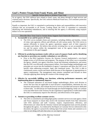## **Goal 5. Protect Texans from Fraud, Waste, and Abuse**

Specific Action Items to Achieve Your Goal

As an agency, the OAG enforces laws related to fraud, waste, and abuse through its legal services and criminal justice divisions. Specifically, the OAG enforces Medicaid Fraud laws, civil consumer protection and antitrust laws.

Equally as important, the OAG is committed to performing its duties and responsibilities with innovative solutions that are accountable to all Texans. Looking ahead, the OAG is committed to continually identifying and eliminating redundancies, and to ensuring that the agency is efficiently using taxpayer dollars in its own operations.

## Describe How Your Goal or Action Items Support Each Statewide Objective

## **1. Accountable to tax and fee payers of Texas.**

The OAG serves multiple clients and customers, including children and families, victims of crime, state agencies, officers and officials, all with various needs. The OAG strives to operate efficiently to ensure the agency operations support each of their respective customers and clients. We believe that actively revisiting how we are accountable to the tax and fee payers within the management team at the agency keeps the agency commitment to this goal engaged.

## **2. Efficient by producing maximum results with no waste of taxpayer funds and by identifying any function or provision you consider redundant or cost-effective.**

• Prior to the 85th Legislative Session, the Attorney General implemented a zero-based budget review of all divisions and programs. The purpose of this effort was to streamline the agency, identify core agency functions, locate and eliminate redundancies, and ensure that the OAG was efficiently using taxpayer dollars. Zero-based budget methodologies and principles are woven into the foundation of agency's operations and allow the OAG to act quickly when addressing economic, legal, and communal issues. The OAG is able to continuously assess current and future needs because of the alignment of appropriations to agency requirements. The management team remains committed and focused on these concepts applying them during the creation of this strategic plan.

### **3. Effective by successfully fulfilling core functions, achieving performance measures, and implementing plans to continuously improve.**

The continued utilization of zero-based budget methodologies allows each division to review the laws that are applicable to each division's responsibilities, determine the core functions and priorities, and evaluate the level of service provided and resources dedicated to those tasks. As efficiencies are found through zero-based budgeting, funds can continue to be sent either back to the Treasury for the Legislature to appropriate or reallocated within the OAG to continuously improve the efficiency and effectiveness of the agency.

## **4. Attentive to providing excellent customer service.**

The OAG is committed to providing high quality customer service to its state agency clients and Texas taxpayers to ensure they receive the maximum benefit from their interaction with OAG attorneys and staff. Courtesy, respect, responsiveness, efficiency, and effectiveness are values that the Attorney General and management team actively promote throughout the agency. As evidenced by the Report on Customer Service referenced in this document, the agency is proactively seeking input from actual clients and customers as to what we are doing well and what areas we can improve upon.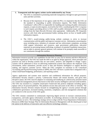#### **5. Transparent such that agency actions can be understood by any Texan.**

- The OAG is committed to promoting statewide transparency through its open government units and their activities.
- Because of the importance of our agency under the PIA, it is imperative that the OAG set the standard in responding to public information requests. The Public Information Coordinator's office (PIC) is responsible for handling and tracking all public information requests, or open records requests, received by the OAG; coordinating the OAG's response to each request; providing advice to OAG staff on public information issues; and seeking rulings from the Open Records Division when appropriate. Additionally, PIC frequently receives calls from other governmental bodies seeking advice on how to handle public information requests.
- The OAG's award-winning public-facing website continues to strive to increase communication with the public and improve customer service. Information concerning key areas including news, initiation of consumer and law enforcement complaints, accessing child support information and resources, open government publications, education materials on preventing human trafficking, avoidance of potential fraudulent transactions, and an index to attorney general opinions, will continue to be promptly made assessible to our constituents through this medium.

### Information Resources Planning

Information resources provide core capabilities for the OAG to carry out its mission and drive efficiencies within the organization. The OAG has made the shift to an agile by design approach, where principles and practices are used to develop systems that are user-centric, iterative, and adaptable to change. Legacy systems will be addressed to focus on delivering modernized systems that enhance the employee work environment, utilize automation, provide access to data and business intelligence to support decision making, and improve customer service. When the OAG completes its transition to the Centralized Accounting and Payroll Processing System (CAPPS), the OAG will have a system that is integrated with a robust cloud-based budgeting, performance, and reporting system.

Agency applications and systems store sensitive and confidential information for official purposes. Information Security remains a priority. Cybersecurity threats will remain dynamic, and given their deceptive nature, the OAG must be adaptive in evaluating and modifying its cybersecurity priorities based on a sound risk management process that factors in the latest security intelligence and real-world incidents. The OAG has invested in a complete cloud-native framework that protects endpoints including agency laptops with an AI powered platform. This platform secures data and assets in the office or remotely. The Information Security Division remains focused on strengthening the agency's security posture through collaborative governance, increased training, awareness, compliance, and risk management solutions that are conducive to the success of the OAG goals.

The OAG remains committed to continuously improving digital services to increase communications, transparency, and make agency information accessible. As technology advances so does the expectations of the citizens we serve. The technology strategy strives to align with the Texas Department of Information Resources (DIR) State Strategic Plan for Information Resources Management with the shared goal to lead the nation in the delivery of innovative and cost-effective technology solutions.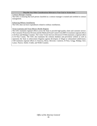#### Describe Any Other Considerations Relevant to Your Goal or Action Item

Contract Manager Training

The OAG is ensuring that each person classified as a contract manager is trained and certified in contract management.

Enhancing Military Installations

The OAG does not have expenditures related to military instillations.

Texas-Louisiana and Texas-Mexico Border Regions

The OAG maintains regional offices across the State to provide high-quality client and customer service. The Consumer Protection Division and the Medicaid Fraud Control Unit (MFCU) maintain regional offices in El Paso and Hidalgo Counties. The Crime Victim Services Division (CVSD) maintains a regional office in El Paso County. The OAG also maintains the colonias database and prevention website as well as represents the State in enforcement litigation against developers of illegal or substandard subdivisions. CSD maintains regional offices in Atascosa, Bexar, Brewster, Cameron, El Paso, Gregg, Hidalgo, Kerr, Lamar, Nueces, Smith, Uvalde, and Webb Counties.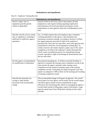## **Redundancies and Impediments**

Idea #1: Employee Training Records

| <b>Redundancies and Impediments</b> |                                                                                                                                       |
|-------------------------------------|---------------------------------------------------------------------------------------------------------------------------------------|
| Service, statute, rule, or          | Section 20.010 of the Texas Labor Code requires all state                                                                             |
| regulation (provide specific        | employees to take regular training regarding employment                                                                               |
| citation if applicable)             | discrimination and sexual harassment and imposes certain                                                                              |
|                                     | requirements on state agencies about the recordkeeping of such                                                                        |
|                                     | data.                                                                                                                                 |
| Describe why the service, statute,  | Sec. 21.010(e) requires that each employee sign a statement                                                                           |
| rule, or regulation is resulting in | verifying attendance in the agency's discrimination and                                                                               |
| inefficient or ineffective agency   | harassment awareness training. According to Section 21.010(e),                                                                        |
| operations                          | the signed statement must then be filed in the employee's                                                                             |
|                                     | personnel file. Since this law took effect, most state agencies have                                                                  |
|                                     | transitioned to electronic record keeping for training data. As<br>written, however, this statute requires a paper copy of the course |
|                                     | completion to be filed in the employee's master personnel file,                                                                       |
|                                     | which creates an inefficient process for maintaining training                                                                         |
|                                     | records, especially in light of technological advancements since                                                                      |
|                                     | the law took effect.                                                                                                                  |
|                                     |                                                                                                                                       |
| Provide agency recommendation       | Recommend amending Sec. 21.010(e) to provide flexibility to                                                                           |
| for modification or elimination     | agencies to maintain the training course completion records in the                                                                    |
|                                     | same manner the agency maintains other training course                                                                                |
|                                     | completion records instead of printing copies of the training                                                                         |
|                                     | completion records. Technology has improved greatly since this                                                                        |
|                                     | statute was adopted in 1999 to allow for the tracking and recording                                                                   |
|                                     | of training completion records.                                                                                                       |
| Describe the estimated cost         | This recommended change will impact all agencies. The overall                                                                         |
| savings or other benefit            | fiscal impact for each agency will be small, but the overall impact                                                                   |
| associated with recommended         | will allow agency human resources departments to gain                                                                                 |
| change                              | efficiencies by maximizing their efforts on managing the agency's                                                                     |
|                                     | overall needs instead of filing paper copies of documents. Large                                                                      |
|                                     | agencies spend many hours filing these training records copies                                                                        |
|                                     | annually.                                                                                                                             |
|                                     |                                                                                                                                       |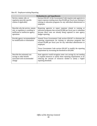Idea #2: Employee-training Reporting

| <b>Redundancies and Impediments</b>                                                                                          |                                                                                                                                                                                                                                |
|------------------------------------------------------------------------------------------------------------------------------|--------------------------------------------------------------------------------------------------------------------------------------------------------------------------------------------------------------------------------|
| Service, statute, rule, or<br>regulation (provide specific<br>citation if applicable)                                        | Section 656.047 of the Government Code requires state agencies to<br>report expenses totaling more than \$5,000 per fiscal year relating to<br>training or education programs for any individual administrator or<br>employee. |
| Describe why the service, statute,<br>rule, or regulation is resulting in<br>inefficient or ineffective agency<br>operations | Requiring agencies to report expenses related to training or<br>education programs that exceed \$5,000 per fiscal year is redundant<br>because these costs are already being captured in state agency<br>budget reporting.     |
| Provide agency recommendation<br>for modification or elimination                                                             | Amend Texas Government Code section 656.047 to eliminate the<br>reporting requirements for training or education programs that<br>exceed \$5,000 per fiscal year for any individual administrator or<br>employee.              |
|                                                                                                                              | Texas Government Code section 656.047 to modify the reporting<br>requirement by increasing the threshold to \$10,000.                                                                                                          |
| Describe the estimated cost<br>savings or other benefit<br>associated with recommended<br>change                             | State agencies would recognize some cost savings by not needing<br>to expend resources to satisfy these reporting requirements or by<br>reducing the amount of resources needed to satisfy a higher<br>reporting threshold.    |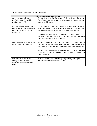Idea #3: Agency Travel Lodging Reimbursement

| <b>Redundancies and Impediments</b>                                                                                          |                                                                                                                                                                                                                                                                                                                                                                                               |  |
|------------------------------------------------------------------------------------------------------------------------------|-----------------------------------------------------------------------------------------------------------------------------------------------------------------------------------------------------------------------------------------------------------------------------------------------------------------------------------------------------------------------------------------------|--|
| Service, statute, rule, or<br>regulation (provide specific<br>citation if applicable)                                        | Section 660.113 of the Government Code restricts reimbursement<br>for lodging expenses incurred at places that are not commercial<br>lodging establishments.                                                                                                                                                                                                                                  |  |
| Describe why the service, statute,<br>rule, or regulation is resulting in<br>inefficient or ineffective agency<br>operations | Because short-term property rentals have become widely available,<br>state agencies may be able to obtain lodging rates that are lower<br>than those available at a commercial lodging establishment.<br>In addition, the state's current lodging platform often does not allow<br>the state to obtain lodging rates that are lower than the rates<br>otherwise available from other sources. |  |
| Provide agency recommendation<br>for modification or elimination                                                             | Amend Texas Government Code section 660.113 to eliminate the<br>restriction on reimbursing state employees for lodging expenses<br>incurred at a place that is not a commercial lodging establishment.<br>Amend Texas Government Code section 660.113 to clarify that use<br>of the state's lodging platform is not a prerequisite to eligible<br>reimbursements.                             |  |
| Describe the estimated cost<br>savings or other benefit<br>associated with recommended<br>change                             | The state could obtain cost savings by procuring lodging rates that<br>are lower than those currently available.                                                                                                                                                                                                                                                                              |  |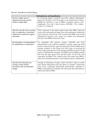Idea #4: Bond Review Board Report

| <b>Redundancies and Impediments</b>                                                                                          |                                                                                                                                                                                                                                                                                                                                                                                                                                                                                                                                                                                                                        |
|------------------------------------------------------------------------------------------------------------------------------|------------------------------------------------------------------------------------------------------------------------------------------------------------------------------------------------------------------------------------------------------------------------------------------------------------------------------------------------------------------------------------------------------------------------------------------------------------------------------------------------------------------------------------------------------------------------------------------------------------------------|
| Service, statute, rule, or<br>regulation (provide specific<br>citation if applicable)                                        | In reviewing public securities, the OAG collects information<br>about the securities to be forwarded to the Bond Review Board<br>(BRB) for inclusion in one of BRB's mandated reports to the<br>Legislature. Tex. Gov't Code, Section 1202.008; 1 Tex. Admin.<br>Code sec. $53.3(a)(15)$                                                                                                                                                                                                                                                                                                                               |
| Describe why the service, statute,<br>rule, or regulation is resulting in<br>inefficient or ineffective agency<br>operations | OAG collection of the reports made sense when BRB could only<br>receive this information in paper form and requiring its submission<br>with transcript reviewed by OAG ensured that BRB received this<br>information; however, now issuers can submit this information<br>directly to the BRB in electronic form.                                                                                                                                                                                                                                                                                                      |
| Provide agency recommendation<br>for modification or elimination                                                             | To streamline this process, section 1202.008<br>and OAG<br>administrative rule could be modified to simply require the bond<br>issuer to directly file the report electronically with the BRB and to<br>provide evidence of this filing with OAG prior to receiving the<br>OAG's approving opinion. In discussing with BRB, the OAG would<br>need to coordinate the transition with BRB, because BRB currently<br>still uses the hard copies OAG provides them. As the OAG also<br>represents the BRB, OAG should ensure that input from BRB is<br>taken into consideration prior to proceeding with any modification. |
| Describe the estimated cost<br>savings or other benefit<br>associated with recommended<br>change                             | Savings in elimination of paper copies and time it takes to collect<br>and transfer information from one agency to another. Certification<br>from issuer confirming information electronically submitted to<br>BRB as prerequisite for opinion will still ensure that information is<br>timely provided to BRB.                                                                                                                                                                                                                                                                                                        |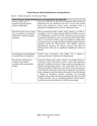## **Natural Disaster Related Redundancies and Impediments**

Idea #1: Public Information Act Electronic Filing

| <b>Natural Disaster-Related Redundancies and Impediments (If Applicable)</b>                                                 |                                                                                                                                                                                                                                                                                                                                                                                                                                                                                                                                                                                                                                                                                                                                                                          |  |
|------------------------------------------------------------------------------------------------------------------------------|--------------------------------------------------------------------------------------------------------------------------------------------------------------------------------------------------------------------------------------------------------------------------------------------------------------------------------------------------------------------------------------------------------------------------------------------------------------------------------------------------------------------------------------------------------------------------------------------------------------------------------------------------------------------------------------------------------------------------------------------------------------------------|--|
| Service, statute, rule, or                                                                                                   | Section 552.308 and 552.309 of the Government Code specify that                                                                                                                                                                                                                                                                                                                                                                                                                                                                                                                                                                                                                                                                                                          |  |
| regulation (provide specific                                                                                                 | information may be submitted to the OAG via first class United                                                                                                                                                                                                                                                                                                                                                                                                                                                                                                                                                                                                                                                                                                           |  |
| citation if applicable)                                                                                                      | States mail, common or contract carrier, interagency mail, or                                                                                                                                                                                                                                                                                                                                                                                                                                                                                                                                                                                                                                                                                                            |  |
|                                                                                                                              | through the designated OAG electronic submission service.                                                                                                                                                                                                                                                                                                                                                                                                                                                                                                                                                                                                                                                                                                                |  |
| Describe why the service, statute,<br>rule, or regulation is resulting in<br>inefficient or ineffective agency<br>operations | Most governmental bodies submit ruling requests via USPS or<br>interagency mail. The Open Records Division ("ORD") received<br>over 55,000 pieces of mail in FY 2019. This mail must be processed<br>at multiple levels before it can be reviewed and routed within ORD.<br>Once it is received by ORD, it must be handled by multiple staff<br>(sometimes as many as eight individuals including support staff and<br>attorneys) during the ruling process. This requires extensive<br>administrative resources, the physical presence and effort of<br>numerous OAG staff, and is a significant impediment to telework<br>policies.                                                                                                                                    |  |
| Provide agency recommendation<br>for modification or elimination                                                             | Amend Texas Government Code chapter 552 to require or<br>encourage electronic submission of ruling requests.                                                                                                                                                                                                                                                                                                                                                                                                                                                                                                                                                                                                                                                             |  |
| Describe the estimated cost<br>savings or other benefit<br>associated with recommended<br>change                             | Increased e-filing could result in direct cost savings because it<br>would ease some of the burden on OAG's mail center operations<br>and staff. In addition, increased e-filing would accommodate more<br>flexible telecommuting policies. This could allow the OAG to<br>reduce the number of employees in the office, thereby reducing the<br>overall need for office space and necessary equipment. It would also<br>help to mitigate the need to be physically present in the office during<br>a disaster or emergency scenario, especially one involving<br>contagious diseases that could be spread through the mail. Increased<br>e-filing, especially with an updated/modernized e-filing system,<br>could also increase the efficiency of ORD file processing. |  |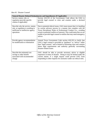## Idea #2: Disaster Counsel

| <b>Natural Disaster-Related Redundancies and Impediments (If Applicable)</b>                                                 |                                                                                                                                                                                                                                                                                                                                                                          |
|------------------------------------------------------------------------------------------------------------------------------|--------------------------------------------------------------------------------------------------------------------------------------------------------------------------------------------------------------------------------------------------------------------------------------------------------------------------------------------------------------------------|
| Service, statute, rule, or<br>regulation (provide specific<br>citation if applicable)                                        | Section 418.193 of the Government Code allows the OAG to<br>provide legal counsel to cities and counties under a declared<br>disaster.                                                                                                                                                                                                                                   |
| Describe why the service, statute,<br>rule, or regulation is resulting in<br>inefficient or ineffective agency<br>operations | Due to potential ethical issues, OAG must ensure that it is handling<br>its current advisory process in a manner that complies with the<br>Texas Disciplinary Rules of Professional Conduct (i.e., avoiding<br>actual or potential conflicts of interest). This could mean that we are<br>unable to provide legal counsel to entities that may need emergency<br>advice. |
| Provide agency recommendation<br>for modification or elimination                                                             | Amend Texas Government Code section 418.193 to clarify that<br>OAG's legal counsel is provided as "guidance" or "advice" rather<br>than "legal counsel," and is limited to informing cities and counties<br>about legal requirements and authority generally surrounding<br>disaster-related issues.                                                                     |
| Describe the estimated cost<br>savings or other benefit<br>associated with recommended<br>change                             | OAG should be able to provide necessary advice to eligible<br>requestors in times of disaster. Doing so may be limited under the<br>current statute, if a single request could prevent OAG from<br>responding to other requests for assistance under our ethical rules.                                                                                                  |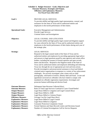|                                                                                                                                                                                                                                                                                                                           | Schedule A: Budget Structure - Goals, Objectives and<br><b>Outcome Measures, Strategies and Output,</b><br><b>Efficiency and Explanatory Measures</b><br>For Fiscal Years 2022-2023                                                                                                                                                                                                                                                                                                                                                                                                                                                                                                                                                                                                                                                                                                                                                                                                                                                                        |
|---------------------------------------------------------------------------------------------------------------------------------------------------------------------------------------------------------------------------------------------------------------------------------------------------------------------------|------------------------------------------------------------------------------------------------------------------------------------------------------------------------------------------------------------------------------------------------------------------------------------------------------------------------------------------------------------------------------------------------------------------------------------------------------------------------------------------------------------------------------------------------------------------------------------------------------------------------------------------------------------------------------------------------------------------------------------------------------------------------------------------------------------------------------------------------------------------------------------------------------------------------------------------------------------------------------------------------------------------------------------------------------------|
| Goal 1:                                                                                                                                                                                                                                                                                                                   | PROVIDE LEGAL SERVICES<br>To provide skillful and high quality legal representation, counsel, and<br>assistance for the State of Texas and its authorized entities and<br>employees in the lawful performance of their duties.                                                                                                                                                                                                                                                                                                                                                                                                                                                                                                                                                                                                                                                                                                                                                                                                                             |
| <b>Operational Goals:</b>                                                                                                                                                                                                                                                                                                 | <b>Executive Management and Administration</b><br>Provide Legal Services<br>Criminal Justice and Investigations                                                                                                                                                                                                                                                                                                                                                                                                                                                                                                                                                                                                                                                                                                                                                                                                                                                                                                                                            |
| Objective:                                                                                                                                                                                                                                                                                                                | LEGAL COUNSEL AND LITIGATION<br>To provide skillful and high quality legal counsel and litigation support<br>for cases referred by the State of Texas and its authorized entities and<br>employees in the lawful performance of their duties during each year of<br>the strategic plan.                                                                                                                                                                                                                                                                                                                                                                                                                                                                                                                                                                                                                                                                                                                                                                    |
| <b>Strategy:</b>                                                                                                                                                                                                                                                                                                          | <b>LEGAL SERVICES</b><br>Respond to the legal counsel needs of the State of Texas and its<br>authorized entities and employees by providing appropriate legal advice<br>and answers to legal questions posed by state agencies and certain office<br>holders, including the issuance of formal opinions and open records<br>letters and decisions. Respond to the litigation needs of the State of<br>Texas and its authorized entities and employees defending and enforcing<br>Texas law through the use of appropriate pre-trial and trial actions.<br>Provide investigative and prosecutorial assistance to local and federal<br>criminal justice organizations in response to a variety of law enforcement<br>challenges. Pro-actively investigate cyber crimes such as child<br>pornography, solicitation of minors, identity theft and fraud. Locate and<br>apprehend convicted sex offenders who have failed to comply with<br>mandated sex offender registration requirements. Investigate and<br>prosecute human trafficking and election fraud. |
| <b>Outcome Measure:</b><br><b>Outcome Measure:</b><br><b>Output Measure:</b><br><b>Output Measure:</b><br><b>Output Measure:</b><br><b>Efficiency Measure:</b><br><b>Explanatory Measure:</b><br><b>Explanatory Measure:</b><br><b>Explanatory Measure:</b><br><b>Explanatory Measure:</b><br><b>Explanatory Measure:</b> | Delinquent State Revenue Collected (Key)<br>Ratio of Total Legal Services Caseload to Cases Closed/Settled<br>Legal Hours Billed to Litigation and Legal Counsel (Key)<br>Legal Hours Billed to ADR<br>Legal Hours Billed to Colonias Project<br>Average Cost Per Legal Hour (Key)<br>Legal Hours Billed to Legal Counsel<br>Legal Hours Billed to Litigation<br><b>Consumer Protection Complaints Closed</b><br>Formal Opinions and Open Records Letters and Decisions Issued<br>Number of Criminal Investigations Call for Service Requests                                                                                                                                                                                                                                                                                                                                                                                                                                                                                                              |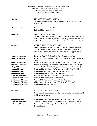| <b>Schedule A: Budget Structure - Goals, Objectives and</b><br><b>Outcome Measures, Strategies and Output,</b><br><b>Efficiency and Explanatory Measures</b><br>For Fiscal Years 2022-2023 |                                                                                                                                                                                                                                                                 |
|--------------------------------------------------------------------------------------------------------------------------------------------------------------------------------------------|-----------------------------------------------------------------------------------------------------------------------------------------------------------------------------------------------------------------------------------------------------------------|
| Goal 2:                                                                                                                                                                                    | <b>ENFORCE CHILD SUPPORT LAW</b><br>To enforce aggressively and fairly both state and federal child support<br>laws and regulations.                                                                                                                            |
| <b>Operational Goals:</b>                                                                                                                                                                  | <b>Executive Management and Administration</b><br><b>Enforce Child Support Laws</b>                                                                                                                                                                             |
| Objective:                                                                                                                                                                                 | <b>COLLECT CHILD SUPPORT</b><br>To collect court-ordered child support through the use of administrative<br>actions and all available legal actions allowed by state and federal laws<br>and regulations. Operate a federally mandated state disbursement unit. |
| <b>Strategy:</b>                                                                                                                                                                           | <b>CHILD SUPPORT ENFORCEMENT</b><br>Collect court-ordered child support through the use of the following:<br>establish paternity; establish child support obligations; enforce child<br>support obligations; and receive and distribute child support monies.   |
| <b>Outcome Measure:</b>                                                                                                                                                                    | Percent of Title IV-D Cases That Have Court Orders (Key)                                                                                                                                                                                                        |
| <b>Outcome Measure:</b>                                                                                                                                                                    | Percent of All Current Child Support Amounts Due That Are Collected<br>(Key)                                                                                                                                                                                    |
| <b>Outcome Measure:</b>                                                                                                                                                                    | Percent of Paying Cases Among Title IV-D Cases in Arrears (Key)                                                                                                                                                                                                 |
| <b>Outcome Measure:</b><br><b>Output Measure:</b>                                                                                                                                          | Percent of Paternity Establishment for Out of Wedlock Births (Key)<br>Amount of Title IV-D Child Support Collected (in Millions) (Key)                                                                                                                          |
| <b>Output Measure:</b>                                                                                                                                                                     | Number of IV-D Children for Whom Paternity Has Been Established                                                                                                                                                                                                 |
| <b>Output Measure:</b>                                                                                                                                                                     | Number of Child Support Obligations Established                                                                                                                                                                                                                 |
| <b>Output Measure:</b>                                                                                                                                                                     | Number of Income Withholdings Initiated                                                                                                                                                                                                                         |
| <b>Efficiency Measure:</b><br><b>Explanatory Measure:</b>                                                                                                                                  | Ratio of Total Dollars Collected Per Dollar Spent (Key)<br>Number of Paternity Acknowledgements                                                                                                                                                                 |
| <b>Explanatory Measure:</b>                                                                                                                                                                | <b>Current TANF Cases As Percent of Total Caseload</b>                                                                                                                                                                                                          |
| <b>Explanatory Measure:</b>                                                                                                                                                                | Child Support Collected through IRS Offsets (in Millions)                                                                                                                                                                                                       |
| <b>Explanatory Measure:</b>                                                                                                                                                                | Number of Hard to Work Cases                                                                                                                                                                                                                                    |
| <b>Strategy:</b>                                                                                                                                                                           | STATE DISBURSEMENT UNIT<br>Operate a state disbursement unit that receives and processes all eligible<br>child support payments.                                                                                                                                |
| <b>Output Measure:</b><br><b>Efficiency Measure:</b><br><b>Efficiency Measure:</b>                                                                                                         | Number of Payment Receipts Processed by the SDU Vendor (Key)<br>Average Cost Per Payment Receipt Processed by the SDU Vendor<br>Percent of Payment Receipts Processed Then Disbursed within Two<br>Days of Receipt                                              |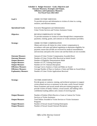| <b>Schedule A: Budget Structure - Goals, Objectives and</b><br><b>Outcome Measures, Strategies and Output,</b><br><b>Efficiency and Explanatory Measures</b><br>For Fiscal Years 2022-2023                                  |                                                                                                                                                                                                                                                                                                                                                                                                                 |  |
|-----------------------------------------------------------------------------------------------------------------------------------------------------------------------------------------------------------------------------|-----------------------------------------------------------------------------------------------------------------------------------------------------------------------------------------------------------------------------------------------------------------------------------------------------------------------------------------------------------------------------------------------------------------|--|
| Goal 3:                                                                                                                                                                                                                     | <b>CRIME VICTIMS' SERVICES</b><br>To provide services and information to victims of crime in a caring,<br>sensitive, and efficient manner.                                                                                                                                                                                                                                                                      |  |
| <b>Operational Goals:</b>                                                                                                                                                                                                   | <b>Executive Management and Administration</b><br>Crime Victim Services and Victims Assistance Grants                                                                                                                                                                                                                                                                                                           |  |
| Objective:                                                                                                                                                                                                                  | REVIEW/COMPENSATE VICTIMS<br>To provide assistance to victims of crime through direct compensation<br>payments, training, grants, and contracts to victim assistance providers.                                                                                                                                                                                                                                 |  |
| <b>Strategy:</b>                                                                                                                                                                                                            | <b>CRIME VICTIMS' COMPENSATION</b><br>Obtain and review all claims for crime victims' compensation in<br>accordance with state and federal regulations to determine eligibility for<br>payment; ensure that all bills are reviewed for medical reasonableness<br>and necessity and paid at the correct rate and that limits are not exceeded.                                                                   |  |
| <b>Outcome Measure:</b><br><b>Outcome Measure:</b><br><b>Output Measure:</b><br><b>Output Measure:</b><br><b>Output Measure:</b><br><b>Efficiency Measure:</b><br><b>Efficiency Measure:</b><br><b>Explanatory Measure:</b> | Amount of Crime Victims' Compensation Awarded (Key)<br>Number of Crime Victims Who Received an Initial Award<br>Number of Eligibility Determinations Made<br>Number of CVC Training Participants<br>Number of CVC Outreach Recipients<br>Average Cost to Analyze a Claim and Make an Award<br>Average Number of Days to Analyze a Claim and Make an Award (Key)<br>Number of Crime Victim Applications Received |  |
| <b>Strategy:</b>                                                                                                                                                                                                            | <b>VICTIMS ASSISTANCE</b><br>Provide grants or contracts, training, and technical assistance to support<br>victim-related services or assistance in the state; certify Sexual Assault<br>Nurse Examiners and sexual assault advocate training programs; and<br>provide victims of family violence, sexual assault, and stalking with a<br>confidential mailing address and a means of receiving mail.           |  |
| <b>Output Measure:</b>                                                                                                                                                                                                      | Number of Entities Which Receive a Grant or Contract for Victim<br><b>Services or Victim Assistance</b>                                                                                                                                                                                                                                                                                                         |  |
| <b>Output Measure:</b>                                                                                                                                                                                                      | <b>Total Dollars Awarded to Victim Services or Victim Assistance</b><br>Programs                                                                                                                                                                                                                                                                                                                                |  |
| <b>Output Measure:</b><br><b>Output Measure:</b>                                                                                                                                                                            | Number of Sexual Assault Training Participants<br>Number of Sexual Assault Outreach Recipients                                                                                                                                                                                                                                                                                                                  |  |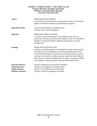| <b>Schedule A: Budget Structure - Goals, Objectives and</b><br><b>Outcome Measures, Strategies and Output,</b><br><b>Efficiency and Explanatory Measures</b><br>For Fiscal Years 2022-2023 |                                                                                                                                                                                                                                                                                                                                                                                                                                                                                      |  |
|--------------------------------------------------------------------------------------------------------------------------------------------------------------------------------------------|--------------------------------------------------------------------------------------------------------------------------------------------------------------------------------------------------------------------------------------------------------------------------------------------------------------------------------------------------------------------------------------------------------------------------------------------------------------------------------------|--|
| Goal 4:                                                                                                                                                                                    | <b>REFER MEDICAID CRIMES</b><br>To provide an environment free of fraud, physical abuse, and criminal<br>neglect for Medicaid recipients and the Medicaid program.                                                                                                                                                                                                                                                                                                                   |  |
| <b>Operational Goals:</b>                                                                                                                                                                  | <b>Executive Management and Administration</b><br>Criminal Justice and Investigations                                                                                                                                                                                                                                                                                                                                                                                                |  |
| Objective:                                                                                                                                                                                 | <b>MEDICAID CRIME CONTROL</b><br>To conduct a statewide program of investigation and to refer for<br>prosecution 100 percent of discovered violations of the Texas Medicaid<br>Program as required by federal regulations during each year of the<br>strategic plan.                                                                                                                                                                                                                 |  |
| <b>Strategy:</b>                                                                                                                                                                           | <b>MEDICAID INVESTIGATION</b><br>Conduct a statewide program of investigation and refer for prosecution<br>all violations of laws pertaining to fraud in the administration of the<br>Texas Medicaid Program, the provision of medical assistance, and the<br>activities of providers of medical assistance under the State Medicaid<br>Plan. Review complaints alleging abuse or neglect of patients in health<br>care facilities receiving payments under the State Medicaid Plan. |  |
| <b>Outcome Measure:</b><br><b>Output Measure:</b><br><b>Output Measure:</b><br><b>Efficiency Measure:</b>                                                                                  | Amount of Medicaid Over-payments Identified<br>Number of Investigations Concluded (Key)<br>Number of Cases Referred for Prosecution<br><b>Average Cost Per Investigation Concluded</b>                                                                                                                                                                                                                                                                                               |  |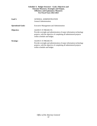#### **Schedule A: Budget Structure - Goals, Objectives and Outcome Measures, Strategies and Output, Efficiency and Explanatory Measures For Fiscal Years 2022-2023**

| Goal 5:                   | <b>GENERAL ADMINISTRATION</b><br>General Administration.                                                                                                                                                 |
|---------------------------|----------------------------------------------------------------------------------------------------------------------------------------------------------------------------------------------------------|
| <b>Operational Goals:</b> | <b>Executive Management and Administration</b>                                                                                                                                                           |
| Objective:                | <b>AGENCY IT PROJECTS</b><br>Provide oversight and administration of major information technology<br>projects, with the objective of completing all administered projects<br>within schedule and budget. |
| <b>Strategy:</b>          | <b>AGENCY IT PROJECTS</b><br>Provide oversight and administration of major information technology<br>projects, with the objective of completing all administered projects<br>within schedule and budget. |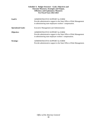# **Schedule A: Budget Structure - Goals, Objectives and Outcome Measures, Strategies and Output, Efficiency and Explanatory Measures For Fiscal Years 2022-2023**

| Goal 6:                   | ADMINISTRATIVE SUPPORT for SORM<br>Provide administrative support to the State Office of Risk Management<br>in administering state employees workers' compensation. |
|---------------------------|---------------------------------------------------------------------------------------------------------------------------------------------------------------------|
| <b>Operational Goals:</b> | <b>Executive Management and Administration</b>                                                                                                                      |
| Objective:                | ADMINISTRATIVE SUPPORT for SORM<br>Provide administrative support to the State Office of Risk Management<br>in administering state employee workers' compensation.  |
| <b>Strategy:</b>          | ADMINISTRATIVE SUPPORT for SORM<br>Provide administrative support to the State Office of Risk Management.                                                           |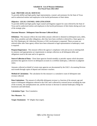## **Goal: PROVIDE LEGAL SERVICES**

To provide skillful and high quality legal representation, counsel, and assistance for the State of Texas and its authorized entities and employees in the lawful performance of their duties.

# **Objective: LEGAL COUNSEL AND LITIGATION**

To provide skillful and high quality legal counsel and litigation support for cases referred by the State of Texas and its authorized entities and employees in the lawful performance of their duties during each year of the strategic plan.

## **Outcome Measure: Delinquent State Revenue Collected (Key)**

**Definition:** This measure reflects the total dollar amount collected or obtained on delinquent taxes, debts, fees, fines, penalties and other obligations, after they have been certified or referred by a State agency to the OAG Bankruptcy & Collections Division or OAG involvement is requested. These accounts are referred either after State agency efforts have been exhausted or legal representation in bankruptcy court is required.

**Purpose/Importance:** This measure reflects the agency's compliance with and success in meeting both its statutory and appropriation act requirements to attempt collection on all delinquent debts and obligations owed to the state and to its agencies.

**Source/Collection of Data:** Client State agencies furnish monthly or periodic reports which document payments that agencies receive on delinquent accounts in a certified, bankruptcy, collection or judgment status.

Amounts collected on behalf of certain state agencies are documented by the OAG's Accounting Division each month through copies of deposit and clearance vouchers.

**Method of Calculation:** The calculation for this measure is a cumulative count of delinquent state revenue collected.

**Data Limitations:** The amount of collectible delinquent revenue is a function of the amount, age and nature of delinquent obligations referred to the OAG and is affected by external factors including the state of the economy, the unemployment rate, and the increase or decrease in national bankruptcy filings for businesses and individuals.

**Calculation Type:** Non-Cumulative.

**New Measure:** No.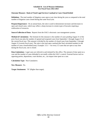# **Outcome Measure: Ratio of Total Legal Services Caseload to Cases Closed/Settled**

**Definition:** The total number of litigation cases open at any time during the year as compared to the total number of litigation cases closed during that same fiscal year.

**Purpose/Importance:** On an annual basis, the ratio is used to demonstrate increases and decreases in open and closed cases, which may reflect a sharp increase in certain types of lawsuits requiring a reallocation of resources.

**Source/Collection of Data:** Reports from the OAG's electronic case management systems.

**Method of Calculation:** The formula for this measure is the number of cases pending August 31 of the prior fiscal year plus the number of opened and reopened cases from September 1 through August 31 of the current fiscal year. This amount is divided by the number of closed cases from September 1 through August 31 (current fiscal year). The ratio is the total open caseload (the final calculated number) to the number of cases closed/settled (one). Example: 3.5:1 -- for every 3.5 cases that are open at any time during the fiscal year, one is closed.

**Data Limitations:** Legal cases are referred to and initiated by this office. The amount of time spent on a case and the number of cases defended is not totally within the OAG's control. External factors such as opposing parties, depositions, court dockets, etc., can impact time spent on a case.

**Calculation Type:** Non-Cumulative.

**New Measure:** No.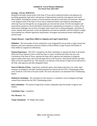### **Strategy: LEGAL SERVICES**

Respond to the legal counsel needs of the State of Texas and its authorized entities and employees by providing appropriate legal advice and answers to legal questions posed by state agencies and certain office holders, including the issuance of formal opinions and open records letters and decisions. Respond to the litigation needs of the State of Texas and its authorized entities and employees defending and enforcing Texas law through the use of appropriate pre-trial and trial actions. Provide investigative and prosecutorial assistance to local and federal criminal justice organizations in response to a variety of law enforcement challenges. Pro-actively investigate cyber crimes such as child pornography, solicitation of minors, identity theft and fraud. Locate and apprehend convicted sex offenders who have failed to comply with mandated sex offender registration requirements. Investigate and prosecute human trafficking and election fraud.

## **Output Measure: Legal Hours Billed to Litigation and Legal Counsel (Key)**

**Definition:** The total number of hours attributed to cases designated by set-up status as legal counsel and litigation cases (see explanatory measures Number of Hours Billed to Legal Counsel and Number of Hours Billed to Litigation for definitions).

**Purpose/Importance:** The OAG is charged by the State Constitution to represent the State in all matters before the Texas Supreme Court to which the State is a party, to defend and enforce the laws and Constitution of the State of Texas, represent the State and its agencies and employees in litigation, approve public bond issues, and to provide legal advice to the Governor, other elected officials and other duties as may be required by law. This measure is an indicator of the amount of legal services delivered to the State, state agencies and other designated clients.

**Source/Collection of Data:** Legal hours worked by agency time keepers (attorneys, law clerks, legal assistants, investigators, and other classified positions) are entered into the OAG's Timekeeping system every month for work done in the prior month. The source document is an automated OAG Timekeeping Report.

**Method of Calculation:** The calculation for this measure is a cumulative count of litigation and legal counsel hours entered into the OAG Timekeeping system.

**Data Limitations:** The amount of legal hours worked is dependent upon the number of agency time keepers.

**Calculation Type:** Cumulative.

**New Measure:** No.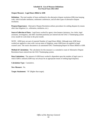# **Output Measure: Legal Hours Billed to ADR**

**Definition:** The total number of hours attributed to the alternative dispute resolution (DR) time keeping code, which includes mediation, settlement conferences, and all other types of alternative dispute resolution.

**Purpose/Importance:** Alternative Dispute Resolution utilizes procedures for settling disputes by means other than litigation (i.e., arbitration, mediation, etc.).

**Source/Collection of Data:** Legal hours worked by agency time keepers (attorneys, law clerks, legal assistants, investigators, and other classified positions) are entered into the OAG's Timekeeping system every month for work done in the prior month.

NOTE: ADR hours are part of reported Number of Legal Hours Billed. Although most ADR hours worked are applied to cases with a set-up status of litigation, some ADR hours are applied to legal counsel cases. The source document is an automated OAG Timekeeping Report for Hours Billed to ADR.

**Method of Calculation:** The calculation for this measure is a cumulative count of Alternative Dispute Resolution hours entered into the OAG Timekeeping system.

**Data Limitations:** The amount of ADR hours worked is dependent upon the number of legal cases in which ADR is utilized (ADR may not always be an appropriate means of settling legal disputes).

**Calculation Type:** Cumulative.

**New Measure:** No.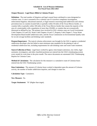# **Output Measure: Legal Hours Billed to Colonias Project**

**Definition:** The total number of litigation and legal counsel hours attributed to cases designated as colonias cases. A case is assumed to be a colonias case if it involves compliance investigation, enforcement litigation, educational outreach, or legal research concerning land subdivision and colonias prevention laws in counties located fully or partially within 50 miles of the Texas-Mexico border, or counties fully or partially within 100 miles of the Texas-Mexico border that contain the majority of the area of a municipality with a population of more than 250,000, or counties that are economically distressed as defined by law. The primary laws involved in OAG colonias cases are Local Government Code Chapters 212 and 232, Water Code Chapters 16 and 17, Property Code Chapter 5, Texas Water Development Board model subdivision rules, and the Texas Commission on Environmental Quality rules for on-site sewage facilities and drinking water standards.

**Purpose/Importance:** The typical colonias enforcement case brought by the OAG is against a residential subdivision developer who has failed to meet minimum state standards for the platting or sale of residential subdivision lots, including requirements for safe drinking water and waste water treatment.

**Source/Collection of Data:** Legal hours worked by agency time keepers (attorneys, law clerks, legal assistants, investigators, and other classified positions) are entered into the OAG's timekeeping system every month for work done in the prior month. The source documents are automated OAG Timekeeping Reports for Colonias Cases.

**Method of Calculation:** The calculation for this measure is a cumulative count of Colonias hours entered into the OAG Timekeeping system.

**Data Limitations:** The amount of Colonias hours worked is dependent upon the amount of Colonias activity, the number of border subdivision inquiries, and changes in state law.

**Calculation Type:** Cumulative.

**New Measure:** No.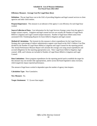# **Efficiency Measure: Average Cost Per Legal Hour (Key)**

**Definition:** The per legal hour cost to the OAG of providing litigation and legal counsel services to client agencies and other client entities.

**Purpose/Importance:** This measure is an indicator of the agency's cost efficiency for each legal hour worked.

**Source/Collection of Data:** Cost information for the Legal Services Strategy comes from the agency's budget variance reports. Litigation and legal counsel services are actually the Number of Legal Hours Billed to Litigation and Legal Counsel (output measure). Number of legal hours billed comes from automated OAG Timekeeping Reports for hours billed to litigation and legal counsel.

**Method of Calculation:** The formula for this measure is direct expenditures for the Legal Services Strategy plus a percentage of indirect administrative support costs based on the OAG's Indirect Cost Plan divided by the Number of Legal Hours Billed to Litigation and Legal Counsel for the reporting period. The Annual Performance Measure Report will calculate the average cost using actual expenditures and accrued obligations for the reporting appropriation year. Note: Legal hours billed to litigation, legal counsel, ADR, and Colonias are included in Number of Legal Hours Billed to Litigation and Legal Counsel.

**Data Limitations:** Direct program expenditures for the reporting period used to establish the target for this measure may not include rider appropriations, and/or across-the-board legislative salary increases, which negatively impact reported performance.

The amount of legal hours worked is dependent upon the number of agency time keepers.

**Calculation Type:** Non-Cumulative.

**New Measure:** No.

**Target Attainment**: "L" (Lower than target).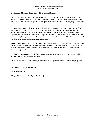# **Explanatory Measure: Legal Hours Billed to Legal Counsel**

**Definition:** The total number of hours attributed to cases designated by set-up status as legal counsel cases (uncontested set-up status). A case is assumed to be a legal counsel case if the primary purpose of the case is to provide general legal advice on a proposed line of conduct to a client agency or other client entity.

**Purpose/Importance:** The OAG is charged by the State Constitution to represent the State in all matters before the Texas Supreme Court to which the State is a party, to defend and enforce the laws and Constitution of the State of Texas, represent the State and its agencies and employees in litigation, approve public bond issues, and to provide legal advice to the Governor, other elected officials and other duties as may be required by law. This measure is an indicator of the amount of legal services delivered to the State, state agencies and other designated clients.

**Source/Collection of Data:** Legal counsel hours worked by agency time keepers (attorneys, law clerks, legal assistants, investigators, and other classified positions) are entered into the OAG's Timekeeping system every month for work done in the prior month. The source document is an automated OAG Timekeeping Report.

**Method of Calculation:** The calculation for this measure is a cumulative count of legal counsel hours entered into the OAG Timekeeping system.

**Data Limitations:** The amount of legal hours worked is dependent upon the number of agency time keepers.

**Calculation Type:** Non-Cumulative.

**New Measure:** No.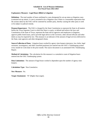# **Explanatory Measure: Legal Hours Billed to Litigation**

**Definition:** The total number of hours attributed to cases designated by set-up status as litigation cases (contested set-up status). A case is assumed to be a litigation case if there is a reasonable expectation that the actions taken by the OAG will be contested by another party, thereby causing the other party to seek or be subject to judicial remedy.

**Purpose/Importance:** The OAG is charged by the State Constitution to represent the State in all matters before the Texas Supreme Court to which the State is a party, to defend and enforce the laws and Constitution of the State of Texas, represent the State and its agencies and employees in litigation, approve public bond issues, and to provide legal advice to the Governor, other elected officials and other duties as may be required by law. This measure is an indicator of the amount of legal services delivered to the State, state agencies and other designated clients.

**Source/Collection of Data:** Litigation hours worked by agency time keepers (attorneys, law clerks, legal assistants, investigators, and other classified positions) are entered into the OAG's Timekeeping system every month for work done in the prior month. The source document is an automated OAG Timekeeping Report.

**Method of Calculation:** The calculation for this measure is a cumulative count of litigation hours entered into the OAG Timekeeping system.

**Data Limitations:** The amount of legal hours worked is dependent upon the number of agency time keepers.

**Calculation Type:** Non-Cumulative.

**New Measure:** No.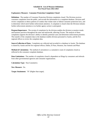# **Explanatory Measure: Consumer Protection Complaints Closed**

**Definition:** The number of Consumer Protection Division complaints closed. The Division receives consumer complaints from the public, and records the information in a complaint database. Division staff review complaints to detect patterns of conduct that violate state or federal consumer protection laws, and to determine which merit further enforcement attention. A complaint is closed when the Division initiates further enforcement attention or no further agency action is anticipated.

**Purpose/Importance:** The receipt of complaints by the division enables the division to monitor trends and business practices throughout the state and nationwide, affecting Texans. The analysis of these complaints supports the division's ability to identify potential cases and determine enforcement priorities. The transfer of the complaint data to the database enables division personnel in Austin, and the five regional offices to review the complaint data.

**Source/Collection of Data:** Complaints are collected and recorded in a database in Austin. The database is shared by Austin and the five regional offices; Dallas, El Paso, Houston, San Antonio and Pharr.

**Method of Calculation:** The method of calculation is a cumulative count of complaints closed as reflected in the consumer complaint database.

**Data Limitations:** The number of complaints closed is dependent on filings by consumers and referrals from other governmental agencies and consumer organizations.

**Calculation Type:** Non-Cumulative.

**New Measure:** No.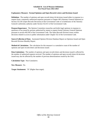# **Explanatory Measure: Formal Opinions and Open Records Letters and Decisions Issued**

**Definition:** The number of opinions and open records letters & decisions issued either in response to a request from a statutorily authorized requestor pursuant to Chapter 402 (Attorney General Opinions) or Section 552.301 (Open Records Decisions) of the Government Code or in furtherance of the Attorney General's uniformity authority under Section 552.011 of the Government Code.

**Purpose/Importance**: The Opinion Committee researches and drafts legal opinions in response to questions of law posed by persons authorized by statute to request formal Attorney General Opinions pursuant to section 402.042 of the Government Code. The Open Records Division issues written decisions related to access to public information under Chapter 552 of the Government Code.

**Source/Collection of Data**: Automated Opinion Division Database Report on Opinions Issued and Open Records Division Monthly Report.

**Method of Calculation:** The calculation for this measure is a cumulative count of the number of opinions and open records letters and decisions issued.

**Data Limitations:** The number of opinions and open records letters and decisions issued is affected by the number of authorized requests received. The number of opinions and open records letters & decisions issued may also be affected by the number of previous determinations issued by the OAG.

**Calculation Type:** Non-Cumulative.

**New Measure:** No.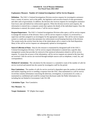# **Explanatory Measure: Number of Criminal Investigations Call for Service Requests**

**Definition:** The OAG's Criminal Investigations Division receives requests for investigative assistance from a variety of sources, such as the public, the legislative and executive branch of state government, and other units of government. In addition, the division also receives requests for investigative assistance from local, state and federal law enforcement agencies. When the division receives such requests, the information is entered into a computer system that captures the details of the individual request. Once the information is entered, the system creates a "call for service request."

**Purpose/Importance:** The OAG's Criminal Investigations Division relies upon a call for service request to manage the resources of the division. Once a call for service request is created, it is reviewed by a supervisor and then assigned to an investigator for the appropriate response. The call for service request system is a multi-user system that automates law enforcement record keeping functions of the division. The system tracks the activity from the time of the initial phone call or contact to the final disposition. Many of the call for service requests are subsequently opened as investigations.

**Source/Collection of Data:** Data for this measure is maintained by designated staff of the OAG's Criminal Investigations Division. Call for service request information is entered into a specific data management system that provides for retrieval of the statistical information related to call for service requests. To assure the accuracy of the information, call for service requests are entered at the time they are received. Calls for service are received through multiple sources such as telephone, e-mail, fax, and correspondence.

**Method of Calculation:** The calculation for this measure is a cumulative count of the number of calls for service received and entered into the system by investigative staff for the period.

**Data Limitations:** The number of calls for service received is dependent upon the number of individuals and entities requiring service or needing a response from the OAG. Data maintained in a call for service record that contains information concerning the detection, investigation, or prosecution of a crime, is maintained as confidential and would be exempt from disclosure under the Public Information Act, including but not limited to Government Code 552.108.

**Calculation Type:** Non-Cumulative.

**New Measure:** No.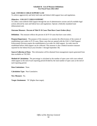## **Goal: ENFORCE CHILD SUPPORT LAW**

To enforce aggressively and fairly both state and federal child support laws and regulations.

## **Objective: COLLECT CHILD SUPPORT**

To collect court-ordered child support through the use of administrative actions and all available legal actions allowed by state and federal laws and regulations. Operate a federally mandated state disbursement unit.

# **Outcome Measure: Percent of Title IV-D Cases That Have Court Orders (Key)**

**Definition:** This measure reflects the percent of all IV-D cases that have court orders.

**Purpose/Importance:** The purpose of this measure is to monitor the effectiveness of the system of establishing court orders in IV-D cases. Many cases that are opened with the OAG's Child Support Enforcement Division require the establishment of an order for child support. An order must be established before child support can be collected. This measure is also a federal incentive measure reported for the federal fiscal year (October 1 through September 30).

**Source/Collection of Data**: This information will be obtained from management reports generated from data available on TXCSES.

**Method of Calculation:** The percentage is calculated as the number of open cases with court ordered child support at the end of each reporting period divided by the total number of open cases at the end of each reporting period.

**Data Limitations:** None.

**Calculation Type:** Non-Cumulative.

**New Measure:** No.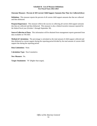# **Outcome Measure: Percent of All Current Child Support Amounts Due That Are Collected (Key)**

**Definition:** This measure reports the percent of all current child support amounts due that are collected and then disbursed.

**Purpose/Importance:** This measure reflects the success in collecting all current child support amounts due that are collected and then disbursed. This measure is also a federal incentive measure reported for the federal fiscal year (October 1 through September 30).

**Source/Collection of Data:** This information will be obtained from management reports generated from data available on TXCSES.

**Method of Calculation:** The percentage is calculated as the total amount of child support collected and then disbursed as current support during the reporting period divided by the total amount of current child support due during the reporting period.

**Data Limitations:** None.

**Calculation Type:** Non-Cumulative.

**New Measure:** No.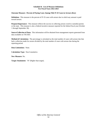# **Outcome Measure: Percent of Paying Cases Among Title IV-D Cases in Arrears (Key)**

**Definition:** This measure is the percent of IV-D cases with arrears due in which any amount is paid toward arrears.

**Purpose/Importance:** This measure reflects the success in collecting arrears owed to custodial parents or the state. This measure is also a federal incentive measure reported for the federal fiscal year (October 1 through September 30).

**Source/Collection of Data:** This information will be obtained from management reports generated from data available on TXCSES.

**Method of Calculation:** The percentage is calculated as the total number of cases with arrears due that had a collection made for arrears divided by the total number of cases with arrears due during the reporting period.

**Data Limitations:** None.

**Calculation Type:** Non-Cumulative.

**New Measure:** No.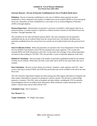# **Outcome Measure: Percent of Paternity Establishment for Out of Wedlock Births (Key)**

**Definition:** Percent of paternity establishment is the ratio of children whose paternity has been established in Texas compared to the number of children born out-of-wedlock (BOW) in Texas during the fiscal year. Paternities are those established by a court order or by an Acknowledgment of Paternity (AOP) or through adoption.

**Purpose/Importance:** Determination of paternity is necessary to establish a child support order for an unmarried parent. A similar measure is reported as a federal incentive measure for the federal fiscal year (October 1 through September 30).

The calculation for the state and federal measure differs. The state calculation uses the paternities established and the out-of-wedlock births from the current fiscal year. The federal calculation uses paternities established from the current fiscal year and the out-of-wedlock births from the previous fiscal year.

**Source/Collection of Data:** Births and paternities are reported to the Texas Department of State Health Services (DSHS) Vital Statistics Unit (VSU) by hospitals and county registrars. VSU records and transmits BOW and AOP information to the OAG via electronic file exchange. Court ordered paternities are based on data residing on TXCSES. VSU also provides a count of statewide adoptions to the OAG.

**Method of Calculation:** The percentage is the number of paternities established divided by the number of births out-of-wedlock. Where there are both a court order and an AOP for the same child, only one is counted.

**Data Limitations:** Because several entities are involved - hospitals, county registrars and VSU - there can be a time lag in receipt of BOW and AOP data and all data may not be available at the end of the state fiscal year.

The OAG Paternity Opportunity Program provides training and child support information to hospitals and other entities. Information is passed on to prospective and new parents. The decision to acknowledge paternity is voluntary. The OAG relies on hospitals and other entities, including the VSU for paternity acknowledgment and out-of-wedlock birth information. Birth certificates contain information on the mother's marital status and are filed with the VSU.

**Calculation Type:** Non-Cumulative.

**New Measure:** No.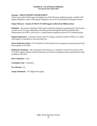# **Strategy: CHILD SUPPORT ENFORCEMENT**

Collect court-ordered child support through the use of the following: establish paternity; establish child support obligations; enforce child support obligations; and receive and distribute child support monies.

# **Output Measure: Amount of Title IV-D Child Support Collected (in Millions) (Key)**

**Definition:** The amount of disbursed child support collections during the reporting period. This measure excludes non IV-D wage withholding collections processed through the federally mandated State Disbursement Unit (SDU), which acts as a conduit between employers and non IV-D custodial parents.

**Purpose/Importance:** A primary function of the IV-D agency (Attorney General's Office) is to collect child support, as mandated by state and federal law.

**Source/Collection of Data:** IV-D collections will be obtained from management reports generated from data available on TXCSES.

**Method of Calculation:** The calculation for this measure is a cumulative count of the amount of Title IV-D child support collected and then disbursed as provided by management reports generated from data available on TXCSES.

**Data Limitations:** None.

**Calculation Type:** Cumulative.

**New Measure:** No.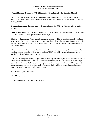# **Output Measure: Number of IV-D Children for Whom Paternity Has Been Established**

**Definition:** This measure counts the number of children in IV-D cases for whom paternity has been established during the state fiscal year either through court action or the Acknowledgment of Paternity (AOP) process.

**Purpose/Importance:** Paternity must be determined before the OAG can obtain an order for child support.

**Source/Collection of Data:** This data resides on TXCSES. DSHS Vital Statistics Unit (VSU) provides AOP data to the OAG through electronic file exchange.

**Method of Calculation:** This measure is a cumulative count of children for whom paternity has been established. The measure counts a paternity when it is the result of either a court order or an AOP. Where there is both a court order and an AOP for the same child, only one is counted. This measure does not include adoptions.

**Data Limitations:** Because several entities are involved - hospitals, county registrars and VSU - there can be a time lag in receipt of births out-of-wedlock (BOW) and AOP data and all data may not be available at the end of the state fiscal year.

The OAG Paternity Opportunity Program provides training and child support information to hospitals and other entities. Information is passed on to prospective and new parents. The decision to acknowledge paternity is voluntary. The OAG relies on hospitals and other entities, including the VSU for paternity acknowledgment and out-of-wedlock birth information. Birth certificates contain information on the mother's marital status and are filed with the VSU.

**Calculation Type:** Cumulative.

**New Measure:** No.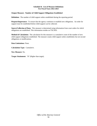# **Output Measure: Number of Child Support Obligations Established**

**Definition:** The number of child support orders established during the reporting period.

**Purpose/Importance:** To ensure that the agency continues to establish new obligations. An order for support must be established before child support can be collected.

**Source/Collection of Data:** This measure is determined using information from court orders for which obligations are established. This information resides on TXCSES.

**Method of Calculation:** The calculation for this measure is a cumulative count of the number of new child support obligations established. The measure counts child support orders established, but not second obligations or modifications.

**Data Limitations:** None.

**Calculation Type:** Cumulative.

**New Measure:** No.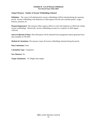## **Output Measure: Number of Income Withholdings Initiated**

**Definition:** The count of all administrative income withholdings (AIWs) initiated during the reporting period. Income withholding is the deduction of child support from the non-custodial parent's wages, bonuses, pensions, etc.

**Purpose/Importance:** This measure reflects agency efforts to work with employers to effectively initiate income withholdings. Historically, income withholding accounts for a majority of child support collected.

**Source/Collection of Data:** This information will be obtained from management reports generated from data available on TXCSES.

**Method of Calculation:** The measure counts all income withholdings initiated during the period.

**Data Limitations:** None.

**Calculation Type:** Cumulative.

**New Measure:** No.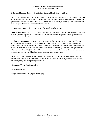# **Efficiency Measure: Ratio of Total Dollars Collected Per Dollar Spent (Key)**

**Definition:** The amount of child support dollars collected and then disbursed per every dollar spent in the Child Support Enforcement Strategy. The amount of child support collected is determined by the output performance measure Amount of Title IV-D Child Support Collected (in millions). Dollars spent on the Child Support Program are reflected on budget reports.

**Purpose/Importance:** This measure is an indicator of cost effectiveness.

**Source/Collection of Data:** Cost information comes from the agency's budget variance reports and other system generated reports. IV-D collections will be obtained from management reports generated from data available on TXCSES.

**Method of Calculation:** The formula for this measure is the total amount of Title IV-D child support collected and then disbursed for the reporting period divided by direct program expenditures for the reporting period, plus a percentage of indirect administrative support costs based on the OAG's Indirect Cost Plan. The amount excludes expenditures associated with processing collections through the State Disbursement Unit (SDU). The Annual Performance Measure Report will calculate the ratio using actual expenditures and accrued obligations for the reporting appropriation year.

**Data Limitations:** Direct program expenditures for the reporting period used to establish the target for this measure may not include rider appropriations, and/or across-the-board legislative salary increases, which negatively impact reported performance.

**Calculation Type:** Non-Cumulative.

**New Measure:** No.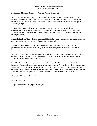## **Explanatory Measure: Number of Paternity Acknowledgements**

**Definition:** The number of paternity acknowledgments, including Title IV-D and non Title IV-D, received at the Vital Statistics Unit (VSU) during the reporting period. A paternity acknowledgment for this measure is defined as the Texas Department of State Health Services (DSHS) Acknowledgment of Paternity (AOP) form.

**Purpose/Importance:** The OAG Child Support Division operates a hospital-based paternity acknowledgment program. Determination of paternity is necessary to establish a child support order for an unmarried parent. This measure provides information on the success of paternity acknowledgment in the hospital setting.

**Source/Collection of Data:** This information will be obtained from management reports generated from data available on TXCSES, as received from VSU electronic files.

**Method of Calculation:** The calculation for this measure is a cumulative count of the number of paternity acknowledgments as provided by management reports generated from data available on TXCSES, as received from VSU electronic files.

**Data Limitations:** Because several entities are involved - hospitals, county registrars and VSU - there can be a time lag in receipt of births out-of-wedlock (BOW) and AOP data and all data may not be available at the end of the state fiscal year.

The OAG Paternity Opportunity Program provides training and child support information to facilities and hospitals. Information is passed on to prospective and new parents. The decision to acknowledge paternity is voluntary. The OAG relies on hospitals, facilities, and the VSU for paternity acknowledgment and outof-wedlock birth information. Birth certificates contain information on the mother's marital status and are filed with the VSU. VSU provides AOP data to the OAG through electronic file exchange.

**Calculation Type:** Non-Cumulative.

**New Measure:** No.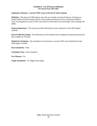# **Explanatory Measure: Current TANF Cases as Percent of Total Caseload**

**Definition:** The percent of child support cases that are currently receiving Temporary Assistance to Needy Families (TANF) benefits from the Texas Health and Human Services Commission (HHSC). Cases are designated as current TANF cases based on information received through a data exchange with HHSC.

**Purpose/Importance:** This measure provides information on the composition of the child support caseload.

**Source/Collection of Data:** This information will be obtained from management reports generated from data available on TXCSES.

**Method of Calculation:** The calculation for this measure is current TANF cases divided by the total child support caseload.

**Data Limitations:** None.

**Calculation Type:** Non-Cumulative.

**New Measure:** No.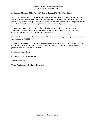# **Explanatory Measure: Child Support Collected through IRS Offsets (in Millions)**

**Definition:** The amount of IV-D child support collected and then disbursed through the interception of federal income tax refunds. Submissions for the interception of tax refunds are made in accordance with federal policy. Monies intercepted through this process are used to reimburse the state for previously paid TANF benefits and to recover child support arrears owed to custodial parents.

**Purpose/Importance:** This measure evaluates the effectiveness of the IRS intercept process. Historically, the IRS tax refund intercept process has been the second most effective method for collecting child support. Only income withholding surpasses it.

**Source/Collection of Data:** This information will be obtained from management reports generated from data available on TXCSES.

**Method of Calculation:** The calculation for this measure is a cumulative count of the amount of IV-D child support collected and then disbursed through IRS offsets as provided by management reports generated from data available on TXCSES.

**Data Limitations:** None.

**Calculation Type:** Non-Cumulative.

**New Measure:** No.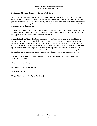# **Explanatory Measure: Number of Hard to Work Cases**

**Definition:** The number of child support orders or paternities established during the reporting period for cases that are difficult to work. Difficult or hard to work cases include cases in which the non-custodial parent is incarcerated, the child is in the custody of a relative, there are missing SSNs or other identifiable information, there is inadequate locate information, and/or other similar factors requiring more than the average amount of time to work.

**Purpose/Importance:** This measure provides information on the agency's ability to establish paternity and/or obtain an order for support in difficult to work cases. Paternity must be determined and an order for support established before child support can be collected.

**Source/Collection of Data:** The Number of Hard to Work Cases will be a subset of Child Support Obligations and Paternities Established. This information will be obtained from management reports generated from data available on TXCSES. Hard to work cases with a new support order or paternity establishment during the year are counted and reported for this measure. A hard to work case is identified by one or more of the following factors: the non-custodial parent is incarcerated, the child is in the custody of a relative, there are missing SSNs or other identifiable information, there is inadequate locate information, and/or other similar factors requiring more than the average amount of time to work.

**Method of Calculation:** The method of calculation is a cumulative count of cases based on data available on TXCSES.

**Data Limitations:** None.

**Calculation Type:** Non-Cumulative.

**New Measure:** No.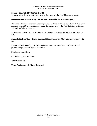#### **Strategy: STATE DISBURSEMENT UNIT**

Operate a state disbursement unit that receives and processes all eligible child support payments.

## **Output Measure: Number of Payment Receipts Processed by the SDU Vendor (Key)**

**Definition:** The number of payment receipts processed by the State Disbursement Unit (SDU) vendor as stipulated in the SDU contract. Payment receipts that are processed by the OAG Child Support Division will not be included in this count.

**Purpose/Importance:** This measure assesses the performance of the vendor contracted to operate the SDU.

**Source/Collection of Data:** This information will be provided by the SDU vendor and validated by the OAG.

**Method of Calculation:** The calculation for this measure is a cumulative count of the number of payment receipts processed by the SDU vendor.

**Data Limitations:** None.

**Calculation Type:** Cumulative.

**New Measure:** No.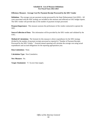# **Efficiency Measure: Average Cost Per Payment Receipt Processed by the SDU Vendor**

**Definition:** The average cost per payment receipt processed by the State Disbursement Unit (SDU). All costs associated with the SDU strategy are included in this measure and reflected on OAG budget reports. The SDU vendor will provide data on the number of payment receipts processed.

**Purpose/Importance:** This measure assesses the performance of the vendor contracted to operate the SDU.

**Source/Collection of Data**: This information will be provided by the SDU vendor and validated by the OAG.

**Method of Calculation:** The formula for this measure is direct expenditures for the SDU strategy divided by the number of payment receipts processed as reported in "Number of Payment Receipts Processed by the SDU Vendor." External annual reporting will calculate the average cost using actual expenditures and accrued obligations for the reporting appropriation year.

**Data Limitations:** None.

**Calculation Type:** Non-Cumulative.

**New Measure:** No.

**Target Attainment:** "L" (Lower than target).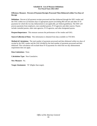# **Efficiency Measure: Percent of Payment Receipts Processed Then Disbursed within Two Days of Receipt**

**Definition:** Percent of all payment receipts processed and then disbursed through the SDU vendor and the OAG within two (2) business days to appropriate payees (excluding IRS off-sets and other IV-D payments for which the two day disbursement is not applicable, per federal guidelines). The SDU will process payments from employers, non-custodial parents, IV-D agencies and other sources. Payees include custodial parents, other state agencies, IV-D agencies, and other designated payees.

**Purpose/Importance:** This measure assesses the performance of the vendor and OAG.

**Source/Collection of Data:** This information is obtained from data available on TXCSES.

**Method of Calculation:** The total number of payments processed and then disbursed within two days of receipt by the SDU vendor and the OAG divided by the total number of payments processed and then disbursed. This calculation will exclude those IV-D payments for which the two day disbursement requirement does not apply.

**Data Limitations:** None.

**Calculation Type:** Non-Cumulative.

**New Measure:** No.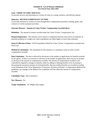#### **Goal: CRIME VICTIMS' SERVICES**

To provide services and information to victims of crime in a caring, sensitive, and efficient manner.

## **Objective: REVIEW/COMPENSATE VICTIMS**

To provide assistance to victims of crime through direct compensation payments, training, grants, and contracts to victim assistance providers.

## **Outcome Measure: Amount of Crime Victims' Compensation Awarded (Key)**

**Definition:** The amount of monies awarded under the Crime Victims' Compensation Act.

**Purpose/Importance:** The measure can be used as a comparison between years and as an indicator of potential problems in a single year when expenditures are either higher or lower than estimated.

**Source/Collection of Data:** USAS Expenditure Detail for Crime Victims' Compensation awarded each fiscal year.

**Method of Calculation:** The calculation for this measure is a cumulative count of crime victims' compensation awarded.

**Data Limitations:** The data is affected by deviations in the number of applications for benefits received by the agency. If there is an increase or decrease in the number of applications, there may be an increase or decrease in the amount of compensation awarded. The amount of compensation awarded is also controlled by legislative changes to benefits, either by adding or deleting benefits or by increasing or decreasing the maximum amounts of existing benefits. Because medical benefits are awarded according to the limitations of the Texas Department of Insurance, Division of Worker's Compensation Medical Fee guidelines, any changes in the Medical Fee Guidelines will also affect the amount of compensation awarded.

**Calculation Type:** Non-Cumulative.

**New Measure:** No.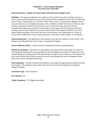### **Outcome Measure: Number of Crime Victims Who Received an Initial Award**

**Definition:** The measure is defined as the number of crime victims that receive an initial award or an award is made on their behalf for any one of the pecuniary losses mandated by Article 56.32 (a) (9) of the Crime Victims' Compensation Act. The term "crime victim" refers to a person that is eligible to receive an award under the act. It includes the primary victim as defined in Article 56.32 (a) (11) of the act and a claimant as defined in Article 56.32 (a) (2) of the act. In a particular claim, the Crime Victims' Compensation Program may award the victim moneys for lost wages and for the expense of medical treatment; and may award claimants in the same claim moneys for the expense of travel or the cost of mental health counseling as the result of the crime. In this instance, the Compensation to Victims of Crime Fund has affected two crime victims; the primary victim and a family member, etc. (Claimant).

**Purpose/Importance:** The significance of this measure is to reflect the number of crime victims' lives that have been affected by the Crime Victims' Compensation Program.

**Source/Collection of Data:** Victims of Crime Compensation System Automated Report.

**Method of Calculation:** The measure is calculated by counting the initial award made to a victim on a claim during the reporting fiscal year regardless of when the application was filed. An award will not be counted during this reporting period if the initial award was made in a prior fiscal year. The measure will only count the initial award made in a given fiscal year; even though there may be subsequent awards made in the same or subsequent fiscal years.

**Data Limitations:** The data is affected by deviations in the number of applications for benefits received by the agency. The number of crime victims who receive an award is also dependent on legislative changes to benefits.

**Calculation Type:** Non-Cumulative.

**New Measure:** No.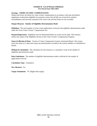# **Strategy: CRIME VICTIMS' COMPENSATION**

Obtain and review all claims for crime victims' compensation in accordance with state and federal regulations to determine eligibility for payment; ensure that all bills are reviewed for medical reasonableness and necessity and paid at the correct rate and that limits are not exceeded.

# **Output Measure: Number of Eligibility Determinations Made**

**Definition:** The total number of crime victim applications reviewed with eligibility determinations made under the Texas Crime Victims' Compensation Act.

**Purpose/Importance:** Eligibility must be determined before an award can be made. This measure reflects the output of the Eligibility Section of the Crime Victims' Compensation Program.

**Source/Collection of Data:** Victims of Crime Compensation System Automated Report. The system tracks the status of a claim and counts any determination recorded in the system whether it is benefitted or denied.

**Method of Calculation:** The calculation for this measure is a cumulative count of the number of eligibility determinations made.

**Data Limitations:** The number of eligibility determinations made is affected by the number of applications received.

**Calculation Type:** Cumulative.

**New Measure:** No.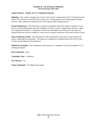# **Output Measure: Number of CVC Training Participants**

**Definition:** The number of people who receive Crime Victims' Compensation (CVC) Training from the Office of the Attorney General (OAG) in a given year. Training formats may include general training sessions, video conference training sessions, and computer based training sessions.

**Purpose/Importance:** This performance measure is intended to reflect the number of people in Texas that are receiving information about the availability of Crime Victims' Compensation and how to apply for compensation benefits. It is important to ensure that individuals and victim service providers are educated about the services available to victims and can respond sensitively to the needs of those victims.

**Source/Collection of Data:** The information for this measurement comes from a report filed by the trainer conducting the presentation. The reports are compiled on a monthly basis by the OAG (Crime Victims' Internal Report on Presentations).

**Method of Calculation:** The calculation for this measure is a cumulative count of the number of CVC training participants.

**Data Limitations:** None.

**Calculation Type:** Cumulative.

**New Measure:** No.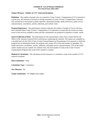# **Output Measure: Number of CVC Outreach Recipients**

**Definition:** The number of people who are exposed to Crime Victims' Compensation (CVC) outreach in a given year. All outreach is focused on raising awareness of Crime Victims' Compensation. Outreach may include but is not limited to public speeches, information booths, media interviews, public service announcements, newsletters, articles, editorials, and website visits.

**Purpose/Importance:** This performance measure indicates the number of people in Texas who have been informed about Crime Victims' Compensation. It is important to ensure that all victims are made aware of the services available to them and that communities are prepared to respond to victims' needs.

**Source/Collection of Data:** The information for this measurement comes from a report filed by the Office of the Attorney General (OAG) staff person conducting the outreach. The reports are compiled on a monthly basis by the OAG (Crime Victims' Internal Report on Presentations). For outreach in which the program has an information booth, the program only counts 25% of the total number of attendees. For media interviews, newsletters, articles, editorials, and public service announcements, 25% of the media outlet's market may be counted. For website visits, the total number of visits to the Crime Victims' Compensation Program link on the OAG website is counted.

**Method of Calculation:** The calculation for this measure is a cumulative count of the number of CVC outreach recipients.

**Data Limitations:** None.

**Calculation Type:** Cumulative.

**New Measure:** No.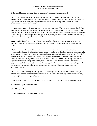# **Efficiency Measure: Average Cost to Analyze a Claim and Make an Award**

**Definition:** The average cost to analyze a claim and make an award, including victim and allied professional education, application processing, eligibility determination and bill payment. Processing an application means counting every application that is received and setup in the Victims of Crime Compensation System as a "claim".

**Purpose/Importance:** The measurement is an accurate reflection of the true costs associated with claims processing. The measure counts all applications received by the Crime Victims' Compensation Program in which any work is performed, such as the setup of the application in the automated system, establishing a file, sending an acknowledgment to the applicant, requesting law enforcement information, conducting eligibility determination, and payment of bills.

**Source/Collection of Data:** Cost information comes from the agency's budget variance reports. The number of applications received comes from the Victims of Crime Compensation System Automated Report.

**Method of Calculation:** Cost information (numerator in calculation) for the Crime Victims' Compensation Strategy is reflected on budget reports. Number of applications reviewed (denominator in calculation) is the explanatory measure Number of Crime Victim Applications Received. The formula for this measure is direct expenditures for the Crime Victims' Compensation Strategy plus a percentage of indirect administrative support costs based on the OAG's Indirect Cost Plan divided by the number of applications received during the reporting period. The cost of actual crime victims' compensation payments is deducted from the total cost of the strategy. The Annual Performance Measure Report will calculate the average cost using actual expenditures and accrued obligations for the reporting appropriation year.

**Data Limitations:** Direct program expenditures for the reporting period used to establish the target for this measure may not include rider appropriations, and/or across-the-board legislative salary increases, which negatively impact reported performance.

Also, see data limitations for explanatory measure Number of Crime Victim Applications Received.

**Calculation Type:** Non-Cumulative.

**New Measure:** No.

**Target Attainment:** "L" (Lower than target).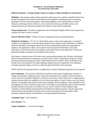#### **Efficiency Measure: Average Number of Days to Analyze a Claim and Make an Award (Key)**

**Definition:** The average number of days required to make payment on a bill for a benefitted claim from the date the application is received to the date of the first payment, including the time for reviewing applications and law enforcement reports, determining eligibility, and reviewing bills for medical treatment, counseling, funeral, child care, travel, crime scene clean-up, and other expenses, and reimbursements to law enforcement agencies for forensic sexual assault examinations.

**Purpose/Importance:** The faster an application can be determined eligible and the claim analyzed and awarded, the faster a victim is assisted.

**Source/Collection of Data:** Victims of Crime Compensation System Automated Report.

**Method of Calculation:** T.C.C.P. Art. 56.36 defines when a crime victim application is considered complete. If an application is received without needed victim, claimant, crime information or sufficient payment information, the program requests the necessary information and places the application in suspense. The application is taken out of suspense once the requested information or any other information is received that allows the program to take further action on the application. The time an application spends in suspense is not included in this measure.

Each quarter a manual review of all claims with a turnaround time greater than 250 days is performed. When it is determined that circumstances out of the Crime Victims' Compensation Program's control prevented payment processing, the claim is subtracted from the calculation. These circumstances may include, but are not limited to, the victim utilizing collateral sources (as required by law), obtaining restitution payments, filing a civil suit, or deferring approved benefits until a later date.

NOTE: Only the first payment made on an application is counted. Subsequent payments are not captured.

**Data Limitations:** The measure is affected by deviations in the number of applications received. A change in the number of applications may impact the turnaround time to analyze a claim and make an award. The time to determine eligibility is included in the measure. Some claims have a complicated fact situation that may delay the completion of a law enforcement agency's report. In these cases, the claim is placed in a suspended status until law enforcement completes their investigation. Upon completion of the investigation, the claim is returned to open status. The Program is also dependent upon external entities to provide information necessary to calculate an award, such as: medical records, employer wage verification, medical billings and explanation of benefits from medical insurance. Sexual assault exam reimbursements and payments for funeral services and travel require less documentation, while relocation, medical expenses and psychiatric care require detailed information.

**Calculation Type:** Non-Cumulative.

**New Measure:** No.

**Target Attainment:** "L" (Lower than target).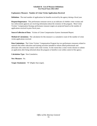#### **Explanatory Measure: Number of Crime Victim Applications Received**

**Definition:** The total number of applications for benefits received by the agency during a fiscal year.

**Purpose/Importance:** This performance measure serves as an indicator of whether crime victims and law enforcement agencies are receiving information about the existence of the program. Most Crime Victims' Compensation Strategy performance measure targets are projected based on the number of applications received in prior fiscal years.

**Source/Collection of Data**: Victims of Crime Compensation System Automated Report.

**Method of Calculation:** The calculation for this measure is a cumulative count of the number of crime victim applications received.

**Data Limitations:** The Crime Victims' Compensation Program has two performance measures related to outreach that reflect education and training activities intended to inform allied professionals and advocates who come into contact with crime victims. To the extent that a crime victim chooses to submit an application after being informed about the program or benefits is not within control of the agency.

**Calculation Type:** Non-Cumulative.

**New Measure:** No.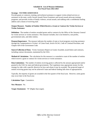#### **Strategy: VICTIMS ASSISTANCE**

Provide grants or contracts, training, and technical assistance to support victim-related services or assistance in the state; certify Sexual Assault Nurse Examiners and sexual assault advocate training programs; and provide victims of family violence, sexual assault, and stalking with a confidential mailing address and a means of receiving mail.

#### **Output Measure: Number of Entities Which Receive a Grant or Contract for Victim Services or Victim Assistance**

**Definition:** The number of entities awarded grants and/or contracts by the Office of the Attorney General for victim services or victim assistance. This measure includes, but is not limited to, non-profits, governmental units, and other entities.

**Purpose/Importance:** The measure indicates the number of state or local programs receiving assistance through the Compensation to Victims' of Crime Fund, Article 56.541, Code of Criminal Procedure, and Chapter 420 of the Government Code.

**Source/Collection of Data:** Victim Assistance Report on Grants Awarded, award letters and contracts, including contract documents, maintained by the OAG.

**Method of Calculation:** The calculation for this measure is a cumulative count of the number of entities which receive a grant or contract for victim services or victim assistance.

**Data Limitations:** The number of entities receiving grants is affected by the amount appropriated and/or granted to the OAG by state and federal governments. The Legislature may appropriate money for this strategy by rider with a specific directive for how and whom it may be awarded. The projected target of entities receiving grants may not be achieved if state and federal funding falls short of appropriations.

Typically, the majority of grants are awarded in the first quarter of the fiscal year. However, some grants may occur later in the fiscal year.

**Calculation Type:** Cumulative.

**New Measure:** No.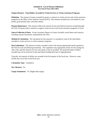#### **Output Measure: Total Dollars Awarded to Victim Services or Victim Assistance Programs**

**Definition:** The amount of money awarded by grants or contracts to victim services and victim assistance programs by the Office of the Attorney General (OAG). This measure includes but is not limited to, nonprofits, governmental units, and other entities.

**Purpose/Importance:** This measure reflects the amount of state and federal resources awarded through the OAG for grants and/or contracts to support victim services and victim assistance programs in Texas.

**Source/Collection of Data:** Victim Assistance Report on Grants Awarded, award letters and contracts, including contract documents, maintained by the OAG.

**Method of Calculation:** The calculation for this measure is a cumulative count of the total dollars awarded to victim services or victim assistance programs.

**Data Limitations:** The amount of money awarded is tied to the amount appropriated and/or granted to the OAG by state and federal governments. The Legislature may appropriate money for this strategy by rider with a specific directive for how and whom it may be awarded. The projected target of dollars awarded may not be achieved if state and federal funding falls short of appropriations.

Typically, the majority of dollars are awarded in the first quarter of the fiscal year. However, some awards may occur later in the fiscal year.

**Calculation Type:** Cumulative.

**New Measure:** No.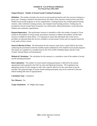#### **Output Measure: Number of Sexual Assault Training Participants**

**Definition:** The number of people who receive sexual assault prevention and crisis services training in a given year. Training is limited to that delivered by the Office of the Attorney General (OAG) and OAG funded sexual assault programs or service organizations. Training formats may include general training sessions, video conference training sessions, and computer based training sessions. Training may be provided for Sexual Assault Nurse Examiners, law enforcement, allied professionals, victim advocates, students and community organizations.

**Purpose/Importance:** This performance measure is intended to reflect the number of people in Texas trained on the problem of sexual assault, preventative measures to address the problem, and the State resources available for these efforts. It is important to ensure that individuals and victim service providers are educated about the services available to sexual assault victims and can respond sensitively to the needs of those victims.

**Source/Collection of Data:** The information for this measure comes from a report filed by the trainer conducting the presentation and from monthly reports submitted by OAG funded sexual assault programs. The reports are compiled on a monthly basis by the OAG (SAPCS Monthly Report and the Crime Victims' Internal Report on Presentations).

**Method of Calculation:** The calculation for this measure is a cumulative count of the number of sexual assault training participants.

**Data Limitations:** The number of sexual assault training participants is affected by the amount appropriated and/or granted to the OAG by state and federal governments. The Legislature may appropriate money for this strategy by rider with a specific directive for how and whom it may be awarded. The projected target of sexual assault training participants may not be achieved if state and federal funding falls short of appropriations.

**Calculation Type:** Cumulative.

**New Measure:** No.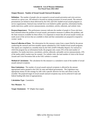#### **Output Measure: Number of Sexual Assault Outreach Recipients**

**Definition:** The number of people who are exposed to sexual assault prevention and crisis services outreach in a given year. All outreach is focused on raising awareness of sexual assault. The outreach presentations are limited to those delivered by the OAG and OAG funded sexual assault programs or service organizations. Outreach may include but is not limited to public speeches, information booths, media interviews, public service announcements, newsletters, articles, editorials, and website visits.

**Purpose/Importance:** This performance measure indicates the number of people in Texas who have been informed about the problem of sexual assault, preventative measures to address this problem, and the State resources available for these efforts. It is important to ensure that all sexual assault victims are made aware of the services that are available to them and that communities are prepared to respond to victims' needs.

**Source/Collection of Data:** The information for this measure comes from a report filed by the person conducting the outreach and from monthly reports submitted by OAG funded sexual assault programs. The reports are compiled on a monthly basis by the OAG (SAPCS Monthly Report). For outreach in which the program has an information booth, the program only counts 25% of the total number of attendees. For media interviews, newsletters, articles, editorials, and public service announcements, 25% of the media outlet's market may be counted. For website visits, the total number of visits to the Sexual Assault and Crisis Prevention link on the OAG website is counted.

**Method of Calculation:** The calculation for this measure is a cumulative count of the number of sexual assault outreach recipients.

**Data Limitations:** The number of sexual assault outreach recipients is affected by the amount appropriated and/or granted to the OAG by state and federal governments. The Legislature may appropriate money for this strategy by rider with a specific directive for how and whom it may be awarded. The projected target of sexual assault outreach recipients may not be achieved if state and federal funding falls short of appropriations.

**Calculation Type:** Cumulative.

**New Measure:** No.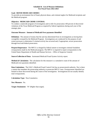#### **Goal: REFER MEDICAID CRIMES**

To provide an environment free of fraud, physical abuse, and criminal neglect for Medicaid recipients and the Medicaid program.

#### **Objective: MEDICAID CRIME CONTROL**

To conduct a statewide program of investigation and to refer for prosecution 100 percent of discovered violations of the Texas Medicaid Program as required by federal regulations during each year of the strategic plan.

#### **Outcome Measure: Amount of Medicaid Over-payments Identified**

**Definition:** The amount of money that the unit has determined from its investigations as having been wrongfully overpaid by the Medicaid Program. Investigations are conducted for the purpose of and extent necessary to determine if criminal activity has occurred and, if appropriate, secure prosecution through local and federal prosecutors.

**Purpose/Importance:** The MFCU is charged by federal statute to investigate criminal fraudulent overpayments made by the Medicaid program. The MFCU is required to report overpayments to the United States Department of Health and Human Services – Office of Inspector General.

**Source/Collection of Data:** Automated Medicaid Fraud System Activity report.

**Method of Calculation:** The calculation for this measure is a cumulative count of the amount of Medicaid over-payments identified.

**Data Limitations:** The OAG's Medicaid Fraud Control Unit has no prosecutorial authority. Nor is there a statute that mandates the prosecuting authority to prosecute MFCU cases. Overpayments identified are limited to those discovered during the course of the investigation. Investigations do not usually identify total overpayments.

**Calculation Type:** Non-Cumulative.

**New Measure:** No.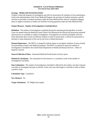#### **Strategy: MEDICAID INVESTIGATION**

Conduct a statewide program of investigation and refer for prosecution all violations of laws pertaining to fraud in the administration of the Texas Medicaid Program, the provision of medical assistance, and the activities of providers of medical assistance under the State Medicaid Plan. Review complaints alleging abuse or neglect of patients in health care facilities receiving payments under the State Medicaid Plan.

#### **Output Measure: Number of Investigations Concluded (Key)**

**Definition:** The number of investigations completed during the reporting period regardless of results. Cases are opened when the Medicaid Fraud Control Unit determines the referral has prosecution potential and resources are available to conduct investigations. Investigations are closed (concluded): when the OAG determines there is lack of sufficient evidence to refer for prosecution, a referral for prosecution is declined, or upon disposition of the case by the local or federal prosecutor.

**Purpose/Importance:** The MFCU is charged by federal statute to investigate violations of state criminal laws pertaining to fraud in the Medicaid program. The MFCU is required to report the number of investigations concluded to the United States Department of Health and Human Services – Office of Inspector General.

**Source/Collection of Data:** Automated Medicaid Fraud System Activity report.

**Method of Calculation:** The calculation for this measure is a cumulative count of the number of investigations concluded.

**Data Limitations:** The number of investigations concluded is affected by the number, size (how long the case takes to investigate) and type of referrals. Some cases may take longer to conclude in order to obtain a positive result.

**Calculation Type:** Cumulative.

**New Measure:** No.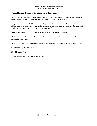#### **Output Measure: Number of Cases Referred for Prosecution**

**Definition:** The number of investigations that have disclosed violations of criminal law and that have been referred to an appropriate prosecuting authority for prosecutive consideration.

**Purpose/Importance:** The MFCU is charged by federal statute to refer cases for prosecution. The MFCU is required to report the number of referrals for prosecution to the United States Department of Health and Human Services – Office of Inspector General.

**Source/Collection of Data**: Automated Medicaid Fraud System Activity report.

**Method of Calculation:** The calculation for this measure is a cumulative count of the number of cases referred for prosecution.

**Data Limitations:** The number of cases referred for prosecution is impacted by the facts of the case.

**Calculation Type:** Cumulative.

**New Measure:** No.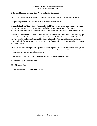#### **Efficiency Measure: Average Cost Per Investigation Concluded**

**Definition:** The average cost per Medicaid Fraud Control Unit (MFCU) investigation concluded.

**Purpose/Importance:** This measure is an indicator of cost effectiveness.

**Source/Collection of Data:** Cost information for the MFCU Strategy comes from the agency's budget variance reports. Number of Investigations Concluded is an output measure for this Strategy. The automated Medicaid Fraud System Activity report provides the total number of investigations concluded.

**Method of Calculation:** The formula for this measure is direct expenditures for the MFCU Strategy plus a percentage of indirect administrative support costs based on the OAG's Indirect Cost Plan divided by the Number of Investigations Concluded for the reporting period. The Annual Performance Measure Report will calculate the average cost using actual expenditures and accrued obligations for the reporting appropriation year.

**Data Limitations:** Direct program expenditures for the reporting period used to establish the target for this measure may not include rider appropriations, and/or across-the-board legislative salary increases, which negatively impact reported performance.

Also, see data limitations for output measure Number of Investigations Concluded.

**Calculation Type:** Non-Cumulative.

**New Measure:** No.

**Target Attainment:** "L" (Lower than target).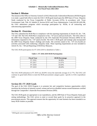#### **Schedule C: Historically Underutilized Business Plan For Fiscal Years 2022-2023**

# **Section I: Mission**

The mission of the Office of Attorney General's (OAG) Historically Underutilized Business(HUB) Program is to make a good faith effort to meet the OAG's HUB goals based upon th[e 2009 State of Texas](https://comptroller.texas.gov/purchasing/vendor/hub/disparity/) Disparity [Study](https://comptroller.texas.gov/purchasing/vendor/hub/disparity/) conducted by the Texas Comptroller of Public Accounts (CPA). In accordance with [Texas](http://www.statutes.legis.state.tx.us/Docs/GV/htm/GV.2161.htm)  Government Code, Title [10, Subtitle D, Section §2161](http://www.statutes.legis.state.tx.us/Docs/GV/htm/GV.2161.htm) and Texas Administrative [Code §20.281-§20.298,](http://texreg.sos.state.tx.us/public/readtac$ext.ViewTAC?tac_view=5&ti=34&pt=1&ch=20&sch=D&div=1&rl=Y)  the OAG administers programs which encourage participation by HUBs, in all contracting and subcontracting opportunities.

## **Section II: Overview**

The OAG submitted the HUB Plan in compliance with the reporting requirements of [Article IX, Sec. 7.06,](http://www.lbb.state.tx.us/Documents/GAA/General_Appropriations_Act_2018-2019.pdf)  [7.07 and 7.08.](http://www.lbb.state.tx.us/Documents/GAA/General_Appropriations_Act_2018-2019.pdf) The OAG HUB Plan is responsive to Sec. 7.07 (a) (1) and (a) (3) (E)-(F). The OAG refers to the [2009 Texas Disparity Study](https://comptroller.texas.gov/purchasing/vendor/hub/disparity/) conducted by the CPA Statewide Procurement Division (SPD) for the information requested in Sec. 7.07 (a)(3) (A)-(D). The OAG's HUB goals and strategic plan incorporated the [2009 Texas Disparity Study's](https://comptroller.texas.gov/purchasing/vendor/hub/disparity/) findings and results. The activities stated in Sec. 7.07 (3) (A)-(D) are activities associated with conducting a disparity study. These reporting requirements are now included in [Article IX, Sec. 7.08](https://comptroller.texas.gov/purchasing/vendor/hub/disparity/) and Reporting of HUB Key Measures.

The OAG HUB participation for FY 2016-2019 is identified in Table 1.

| <b>Fiscal Year</b> | <b>HUB</b> Percentage |
|--------------------|-----------------------|
| FY 2016            | 36.89%                |
| FY 2017            | 21.67%                |
| FY 2018            | 43.04%                |
| FY 2019            | 28.04%                |

**Table 1: FY 2016-2019 HUB Participation**

The OAG HUB utilization in FY 2019 was 28.04% versus the statewide average of 12.77%. The OAG will continue its good faith efforts to meet the HUB procurement category goals,<sup>[1](#page-82-0)</sup> specific to OAG expenditure types.

## **Section III: FY 2020 Goals**

The goal of the OAG HUB Program is to promote fair and competitive business opportunities which maximize the inclusion of minority-owned, woman and service-disabled veteran-owned businesses certified through the Comptroller's Statewide Procurement Division (SPD).

The OAG HUB goals are appropriate to our expenditures, and the [2009 State of Texas Disparity Study](https://comptroller.texas.gov/purchasing/vendor/hub/disparity/) goal setting methodology. The OAG strives to meet or exceed these goals by its proactive approach in the procurement process. This approach ensures that the opportunity for state business has been extended to as many HUB vendors as possible.

<span id="page-82-0"></span><sup>&</sup>lt;sup>1</sup> HUB goals were re-assessed June 2019.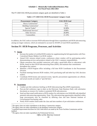#### **Schedule C: Historically Underutilized Business Plan For Fiscal Years 2022-2023**

The FY 2020 OAG HUB procurement category goals are identified in Table 2.

| <b>Procurement Category</b>        | <b>OAG HUB Goal</b> |
|------------------------------------|---------------------|
| Heavy Construction <sup>2</sup>    | N/A                 |
| Building Construction <sup>3</sup> | N/A                 |
| Special Trades <sup>4</sup>        | 32.90%              |
| Professional Services <sup>5</sup> | 0.00%               |
| <b>Other Services</b>              | 26.00%              |
| Commodities                        | 21.10%              |

#### **Table 2: FY 2020 OAG HUB Procurement Category Goals**

In addition, the OAG seeks to increase HUB utilization through direct expenditures and HUB subcontracting among our larger contracts, which are estimated to account for 40-60% of total HUB expenditures.

## **Section IV: HUB Programs, Processes, and Activities**

#### **A. Access**

- Increase the number of certified HUB vendors by supplementing the bid opportunities with Non-Centralized Master Bidders List HUB vendors.
- Attend OAG mission related events, conferences where vendors will be participating and/or demonstrating services and products related to the OAG's statutory responsibilities.
- Obtain assurances that awarded contractors will make a good-faith effort to subcontract with HUBs, based on their HUB Subcontracting Plans (HSP); and maintain that commitment throughout the contract.
- Maintain a HUB Program office including a full time HUB Coordinator in the Procurement Division.
- Facilitate meetings between HUB vendors, OAG purchasing staff and other key OAG decision makers.
- Coordinate HUB forums and outreach events. Specific procurement opportunities are offered, and actual awards are made at "spot bid fairs."

## **B. Awareness**

- Conduct pre-bid conference briefing on HUB Subcontracting Plan (HSP) requirements.
- Post pre-bid conference sign in sheet on the Electronic State Business Daily with solicitation documents as resource for vendors to potential HUB subcontractors.
- Send out blast email notification to HUB vendors for solicitations over \$100,000 with identified potential subcontracting opportunities. Note: The subcontracting opportunities identified within large procurements may be classified by differing class and item National Institute of Governmental Purchasing codes.
- Notify HUB vendors listed under the class and item numbers of pre-solicitation conferences.

<span id="page-83-0"></span><sup>&</sup>lt;sup>2</sup> The agency does not make expenditures in the Heavy Construction category.

<span id="page-83-1"></span><sup>&</sup>lt;sup>3</sup> The agency does not make expenditures in the Building Construction category.

<span id="page-83-2"></span><sup>4</sup> Leasehold improvement decisions for OAG field offices are made by the Texas Facilities Commission and the landlord.

<span id="page-83-3"></span><sup>5</sup> The agency does not make expenditures for Professional Services.

*Office of the Attorney General*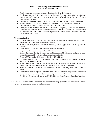#### **Schedule C: Historically Underutilized Business Plan For Fiscal Years 2022-2023**

- Reach out to large corporations through their Supplier Diversity Programs.
- Conduct one-on-one HUB vendor meetings to discuss in depth the opportunity that exists and provide attainable work plan to increase HUB vendor's knowledge of the State of Texas procurement processes.
- Increase the number of "virtual" events, by hosting web-based vendor information sessions.
- Provide an internal HUB Program plan to update the OAG's Executive Management team regarding HUB program activities, related initiatives, and projects.
- Participate in the activities of the HUB Discussion Workgroup, Texas African American Chambers of Commerce, Texas Mexican American Chambers of Commerce, Texas Chamber of Commerce, and Office of the Governors Department of Small Business Assistance, Economic Development and Tourism.

#### **C. Accountability**

- Conduct post award meetings with end users and awarded contractor to ensure their understanding of required HUB reporting post award.
- Monitor the HSP progress assessments reports (PAR) as applicable to resulting awarded contracts.
- Incorporate HSP PAR into OAG's internal procurement system.
- Prepare monthly reports to assess HUB utilization by OAG division.
- Expand the Mentor-Protégé Program and establish quantifiable milestones designed to foster successful relationships between prime contractors and HUBs.
- Create a HUB reporting dashboard for division HUB utilization.
- Recognize prime contractors HUB utilization and good faith efforts with an OAG certificate signed by the Attorney General.
- Monitor total expenditures and the percentage of purchases awarded directly and indirectly through subcontracting to HUBs, under the applicable procurement categories.
- Track the number of contracts awarded to certified HUBs resulting from OAG's outreach efforts.
- Conduct in-reach training with a "Best Practices for HUB Subcontracting" training session for OAG project managers, contract attorneys, and procurement staff.
- Provide new Procurement Division staff "HUB 101" and "Best Practices Guidelines" training.

The OAG is fully committed in its efforts to enhance and encourage growth for minority-owned, womanowned, and service-disabled veteran-owned businesses.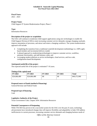#### **Schedule D: Statewide Capital Planning For Fiscal Years 2022-2023**

#### **Fiscal Years:**

 $2022 - 2023$ 

#### **Project Name:**

Child Support IT System Modernization Project, Phase 2

**Type:** Information Resources

#### **Description of the project or acquisition**

The OAG will continue to modernize child support applications using new technologies to enable the Child Support Division (CSD) to meet increasing customer service demands, manage changing caseloads, improve automation of processes, and attract and retain a changing workforce. The system modernization approach will include:

- Completing the transition from a traditional waterfall development methodology to a 100% agilebased mindset and incremental delivery model;
- A phased approach to modernizing technologies to improve customer service, workflow, automate functionality, and add business value; and
- Leveraging modern platform as service technologies, cloud services, and low-code, configuration-based development.

## **Anticipated useful life of the project**

The expected useful life of the project is estimated 7-10 years.

#### **Timing of the capital need**

| FY 2022      | 2023<br>FY   | FY 2024 | FY 2025 | <b>Total</b> |
|--------------|--------------|---------|---------|--------------|
| \$24,686,480 | \$24,686,480 | \$0     | \$0     | \$49,372,960 |

#### **Proposed source of funds (method of financing)**

General Revenue and Federal Funds

#### **Proposed type of financing**

Cash

## **Legislative Authority of the Project**

Texas Government Code, Chapter 2054. Information Resources

## **Potential Consequences of Postponing**

While TXCSES has proven to be a successful system for the OAG over the past 25 years, technology advancements have introduced changes that will improve flexibility and adaptability to help CSD address inefficiencies in current processes, increasing customer service demands and changing business needs of

*Office of the Attorney General*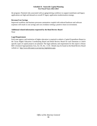#### **Schedule D: Statewide Capital Planning For Fiscal Years 2022-2023**

the program. Potential risks associated with an aging/retiring workforce to support mainframe and legacy applications are high and demand an overall IT legacy application modernization strategy.

#### **Revenue/Cost Savings**

Improved workflow and business processes automation coupled with reduced hardware and software expenses will result in cost savings and cost avoidance netting a positive return on investment.

#### **Additional related information requested by the Bond Review Board**

None

#### **Legal Requirement**

Each state agency and institution of higher education is required to submit a Capital Expenditure Report to the Texas Higher Education Coordinating Board and Bond Review Board for each biennium in which specific types of capital projects are planned. The legal authority and requirement for this report is House Bill 1 (General Appropriations Act), Art. IX, Sec. 11.03. Details may be found on the Bond Review Board website at: [http://www.brb.state.tx.us/cep/cep\\_legislation.aspx.](http://www.brb.state.tx.us/cep/cep_legislation.aspx)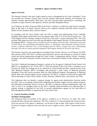#### **Agency Overview**

The Attorney General is the state's legal counsel in court, as designated by the Texas Constitution. Texas law provides the Attorney General with civil and criminal enforcement authority and references the Attorney General approximately 2000 times. The OAG provides legal representation, counseling, and assistance as legal counsel to state agencies, officials and other designated entities.

As of February 24, 2020, 29 percent (965) of the OAG's workforce is within the Legal Services Strategy. Most of this staff is in Austin; however, there are five regional consumer protection offices located in Dallas, El Paso, Houston, Pharr, and San Antonio.

In accordance with the Texas Family Code, the OAG is tasked with administering Texas's federally mandated child support enforcement services program under Title IV-D of the Social Security Act. The Child Support Services Strategy comprises 63 percent of the OAG's current authorized FTEs. The OAG provides child support services across the state through the Child Support Division's (CSD) numerous field and regional offices. Program services include ten service regions across the state, consisting of more than 32 field offices, five consolidated metropolitan offices, 37 storefronts, three Enterprise Customer Service Centers, a Special Collections Unit, a Case Initiation Services Office, a Foster Care Unit, a Responding Interstate Unit and six county-operated Integrated Child Support System (ICSS) local rule offices.

The Attorney General is also responsible for providing Crime Victims' Services. As of February 24, 2020, three percent (129) of the OAG's workforce provides direct services and assistance to victims of violent crimes and various organizations through the Crime Victims' Compensation and the Victims' Assistance Strategies. This staff is primarily located in Austin but is also housed in Dallas, El Paso, Houston, and San Antonio.

The OAG's Medicaid Investigation Strategy is carried out by the agency's Medicaid Fraud Control Unit (MFCU), as mandated by 42 C.F.R.§ 1007.11. With four percent (156) of the OAG's workforce (as of February 24, 2020), this strategy serves as a deterrent to criminal fraud and other criminal activity in the State Medicaid Program. MFCU investigates and prosecutes a wide variety of Medicaid providers throughout Texas that receive payments under the State Medicaid Program. Investigations of Medicaid patient abuse and criminal neglect are also conducted. The MFCU is based in Austin and has eight field offices operating in Corpus Christi, Dallas, El Paso, Houston, Lubbock, Pharr, San Antonio, and Tyler.

The Legislature does not identify a separate strategy for agency-wide administrative functions within the OAG, such as accounting, internal audit, budgeting, procurement, support services, human resources, and information technology services. Instead, the OAG is required to allocate administrative staff and costs to each of its strategies based on the OAG's federally approved Indirect Cost Allocation Plan. A separate strategy is identified for the OAG to provide administrative support for the State Office of Risk Management (SORM), as required by the Texas Labor Code.

#### **A. Current Workforce Profile**

#### **Workforce Demographics**

The following charts are profiles of the agency's workforce as of February 24, 2020. The charts include full-time and part-time employees. The OAG workforce is 71 percent female and 29 percent male. Sixty-five percent of the agency's employees are 40 years of age or older. With respect to state service, 63 percent of agency employees have less than ten years of agency service, while 37 percent have ten or more.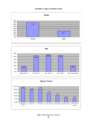



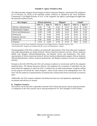The following table compares the percentage of African American, Hispanic, and female OAG employees (as of February 24, 2020) to the statewide civilian workforce as reported by the Texas Workforce Commission's Civil Rights Division. In half of the categories, the agency's percentages are higher than the statewide workforce levels.

| <b>Job Category</b>           | <b>African American</b> |         |              | <b>Hispanic</b> | <b>Female</b> |         |  |
|-------------------------------|-------------------------|---------|--------------|-----------------|---------------|---------|--|
|                               | <b>OAG</b> %            | State % | <b>OAG</b> % | State %         | <b>OAG</b> %  | State % |  |
| Officials, Administration     | 4.40                    | 7.40    | 16.20        | 22.10           | 44.12         | 37.40   |  |
| <b>Administrative Support</b> | 11.80                   | 14.80   | 41.80        | 34.80           | 85.29         | 72.10   |  |
| Service and Maintenance       | 22.00                   | 13.00   | 50.00        | 54.10           | 86.94         | 51.00   |  |
| Professional                  | 9.90                    | 10.40   | 26.00        | 19.30           | 63.45         | 55.30   |  |
| <b>Protective Services</b>    | 7.70                    | 19.80   | 30.10        | 31.30           | 27.21         | 25.60   |  |
| <b>Skilled Craft</b>          | 0.00                    | 10.60   | 66.70        | 50.70           | 33.33         | 11.60   |  |
| Technical                     | 13.70                   | 14.40   | 27.30        | 27.20           | 29.91         | 55.30   |  |

\* Per directive from the Texas Workforce Commission's Civil Rights Division, "Protective Services" and

"Para-Professionals" categories are combined with the "Service and Maintenance" category.

The demographics of the OAG workforce are statistically representative of the Texas labor pool. Categories with under-representation are female technical, African American protective services, African American skilled craft, Hispanic officials/administration, and Hispanic service and maintenance. The underrepresentation of African American technical, African American administrative support, African American officials/administration, African American professional, and Hispanic protective services are considered minimal.

Pursuant to the OAG EEO Plan, the OAG will continue to endeavor to recruit more staff for the categories identified above. The Human Resources Director will emphasize the recruitment of individuals for jobs listed within the categories in which the OAG's workforce has an under-representation. Programs utilized for this purpose will include the "Intern Program", which recruits interns at the undergraduate level. The OAG will also endeavor to attend minority recruitment fairs at historically diverse universities as resources allow.

Additionally, the OAG remains compliant with federal and state laws and regulations regarding the recruitment and selection of veterans.

#### **B. Employee Turnover**

The turnover rate for the OAG is generally consistent with or below the turnover rate for state government. A comparison of the OAG turnover rate to state government for FY 2015 through FY 2019 is below.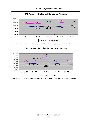

Source: State Auditor's Office Turnover Data for Agency 302 - Office of the Attorney General, Article 01 - General Government



Source: State Auditor's Office Turnover Data for Agency 302 - Office of the Attorney General, Article 01 - General Government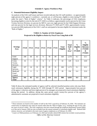#### **C. Potential Retirement Eligibility Impact**

An analysis of the OAG staff tenure and leave records indicates that 341 staff members—or approximately eight percent of the agency's workforce—currently are, or will become, eligible to retire during FY 2020 under the state's "Rule of Eighty" criteria.<sup>[6](#page-91-0)</sup> As Table A indicates, the percentage of OAG employees becoming eligible to retire by the end of FY 2020 is as follows: approximately twelve percent for the Crime Victims Services Division, six percent for MFCU, just over eight percent for the Child Support Division, and nine percent for the legal services divisions. Between FY 2020 and FY 2025, approximately twentytwo percent (900 employees) of the OAG's staff are anticipated to become eligible for retirement under the "Rule of Eighty."

| <b>Strategy</b><br>Area       | <b>FY20</b> | <b>FY21</b>    | <b>FY22</b>    | <b>FY23</b> | <b>FY24</b>    | <b>FY25</b> | <b>Total</b><br>Eligible | <b>Total</b><br><b>Staff</b><br>by<br>Area <sup>7</sup> | $\frac{0}{0}$<br>Eligible<br>in<br><b>FY2020</b> | $\frac{0}{0}$<br>Eligible<br><b>Between</b><br><b>FY2020</b><br>$\boldsymbol{\alpha}$<br><b>FY2025</b> |
|-------------------------------|-------------|----------------|----------------|-------------|----------------|-------------|--------------------------|---------------------------------------------------------|--------------------------------------------------|--------------------------------------------------------------------------------------------------------|
| Child<br>Support              | 208         | 60             | 63             | 71          | 78             | 89          | 569                      | 2,578                                                   | 8.1                                              | 22.1                                                                                                   |
| Crime<br>Victim<br>Services   | 16          | $\mathbf{1}$   | $\overline{4}$ | 6           | $\overline{2}$ | 3           | 32                       | 129                                                     | 12.4                                             | 24.8                                                                                                   |
| Legal<br>Services             | 107         | 24             | 35             | 30          | 29             | 35          | 260                      | 1,173                                                   | 9.1                                              | 22.2                                                                                                   |
| Medicaid<br>Fraud<br>Control  | 10          | $\overline{0}$ | 9              | 7           | 5              | 8           | 39                       | 156                                                     | 6.4                                              | 25.0                                                                                                   |
| <b>Agency</b><br><b>Total</b> | 341         | 85             | 111            | 114         | 114            | 135         | 900                      | 4,036                                                   | 8.4                                              | 22.3                                                                                                   |

#### **TABLE A: Number of OAG Employees Projected to Be Eligible to Retire by Fiscal Year Using Rule of 80**

Table B shows the estimated number of agency staff by selected classified position series who may likely reach retirement eligibility during the FY 2020 through FY 2025 period. Approximately forty percent of the agency's directors and forty-eight percent of its managers are projected to reach retirement eligibility during this period. In addition, during this same period, nearly twenty-five percent of the agency's administrative assistants are projected to reach retirement eligibility.

<span id="page-91-0"></span><sup>6</sup> These estimates are based on the number of staff on the OAG's payroll as of February 24, 2020. The estimates are conservative as employees may retire for reasons other than the "Rule of Eighty" (e.g., reaching the age of sixty with ten years of service credit). The OAG employees who have retired through the Employee Retirement System (ERS) as of the end of January 2020 are also excluded from the annual estimates of retirement-eligible staff. Rehired ERS retirees, however, are included in the total count of agency employees as of February 24, 2020.

<span id="page-91-1"></span><sup>7</sup> Count is of filled positions as of February 24, 2020 and includes rehired ERS retirees but excludes vacant positions.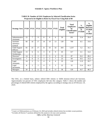| <b>Strategy Area</b>              | <b>FY20</b> | <b>FY21</b>    | <b>FY22</b>    | <b>FY23</b>    | <b>FY24</b>    | <b>FY25</b>    | <b>Total</b><br>Eligible | <b>Total</b><br><b>Employees</b><br>by<br><b>Classification</b><br>Series <sup>8</sup> | $\frac{6}{6}$<br>Eligible<br>in<br><b>FY2020</b> | $\frac{0}{0}$<br>Eligible<br><b>Between</b><br><b>FY2020</b><br>$\boldsymbol{\&}$<br><b>FY2025</b> |
|-----------------------------------|-------------|----------------|----------------|----------------|----------------|----------------|--------------------------|----------------------------------------------------------------------------------------|--------------------------------------------------|----------------------------------------------------------------------------------------------------|
| Administrative<br>Assistants      | 23          | $\overline{7}$ | 9              | 8              | 6              | 6              | 59                       | 201                                                                                    | 11.4                                             | 29.4                                                                                               |
| Assistant<br>Attorneys<br>General | 60          | 16             | 17             | 14             | 19             | 13             | 139                      | 709                                                                                    | 8.5                                              | 19.6                                                                                               |
| Child Support<br><b>Officers</b>  | 65          | 25             | 17             | 31             | 33             | 32             | 203                      | 1,257                                                                                  | 5.2                                              | 16.1                                                                                               |
| Child Support<br>Technicians      | 13          | 6              | 6              | 3              | 8              | 9              | 45                       | 317                                                                                    | 4.1                                              | 14.2                                                                                               |
| Directors <sup>9</sup>            | 14          | 5              | $\overline{2}$ | 7              | 3              | $\overline{4}$ | 35                       | 87                                                                                     | 16.1                                             | 40.2                                                                                               |
| Investigators                     | 7           | $\overline{0}$ | $\overline{4}$ | 3              | $\overline{2}$ | $\overline{7}$ | 23                       | 69                                                                                     | 10.1                                             | 33.3                                                                                               |
| Legal<br><b>Assistants</b>        | 14          | $\overline{2}$ | 5              | $\overline{4}$ | 6              | $\overline{4}$ | 35                       | 118                                                                                    | 11.9                                             | 29.7                                                                                               |
| Legal<br>Secretaries              | 8           | $\overline{2}$ | $\overline{2}$ | 4              | 3              | 3              | 22                       | 52                                                                                     | 15.4                                             | 42.3                                                                                               |
| Managers                          | 20          | 5              | 11             | 7              | $\overline{4}$ | 11             | 58                       | 120                                                                                    | 16.7                                             | 48.3                                                                                               |

**TABLE B: Number of OAG Employees by Selected Classification Series Projected to be Eligible to Retire by Fiscal Year Using Rule of 80**

The OAG, on a limited basis, utilizes rehired ERS retirees to fulfill mission-critical job functions. Approximately two percent of OAG employees fall into this category. Table C shows the number and percentage of rehired ERS retirees employed by the agency according to strategy area as of February 24, 2020.

<span id="page-92-0"></span><sup>8</sup> Count is of filled positions as of February 24, 2020 and includes rehired retirees but excludes vacant positions.

<span id="page-92-1"></span><sup>&</sup>lt;sup>9</sup> Excludes all Director V positions defined for this analysis to be non-career positions.

*Office of the Attorney General*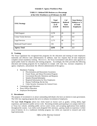| <b>OAG</b> Strategy           | <b>Total</b><br><b>Employees</b><br>as of<br>2/24/20 | # of<br><b>Rehired</b><br><b>State</b><br><b>Retirees</b> | <b>State Retiree</b><br>Rehires as %<br>of Total<br><b>Employees</b> |
|-------------------------------|------------------------------------------------------|-----------------------------------------------------------|----------------------------------------------------------------------|
| Child Support                 | 2,578                                                | 45                                                        | 1.8                                                                  |
| <b>Crime Victim Services</b>  | 129                                                  | $\overline{0}$                                            | 0.0                                                                  |
| Legal Services                | 1,173                                                | 40                                                        | 3.5                                                                  |
| <b>Medicaid Fraud Control</b> | 156                                                  | 9                                                         | 5.5                                                                  |
| <b>Agency Total</b>           | 4,036                                                | 94                                                        | 2.3                                                                  |

#### **TABLE C: Rehired ERS Retirees as a Percentage of the OAG Workforce as of February 24, 2020**

#### **D. Training**

The Texas Legislature has recognized that programs for the education and training of state employees materially aid effective state administration. In addition, state law requires that all state employees complete certain mandatory training. Moreover, the Texas Government Code allows state agencies to spend public funds for education and training programs. Accordingly, the OAG provides the following education and training programs for its employees to comply with state law, increase competency of agency employees, and promote the effective administration of the agency.

- Mandatory Training
	- o Discrimination and Harassment Awareness
	- Fraud, Waste, and Abuse Prevention Program
	- o Government Records: Retention and Requests
	- o Sensitive Personal Information
	- o Required Information for New Employees
	- o Human Trafficking: Be the One
	- o Cyber Security Awareness for General Users
- Continuing Legal Education
- Peace Officer Education
- Employee Development

#### **E. Recruitment**

The purpose of recruitment is to attract outstanding individuals who have an interest in state government. The OAG has ongoing programs that serve to enhance recruitment of employees.

The **Law Clerk Program** selects law clerks based on factors such as grades, writing ability, legal experience, and interest in public service work. Recruiting includes participating in on-campus interviews at Texas law schools, attending public service career events, and accepting applications from students throughout the country. Law clerks work alongside OAG attorneys, gaining hands-on experience in their areas of interest. As in a traditional clerkship program, law clerks are expected to research and write legal memoranda.

*Office of the Attorney General*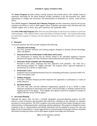The **Intern Program** provides realistic training situations that provide interns with valuable hands-on experience. Recruiting for the Intern Program includes attendance at job and internship fairs, public presentations at colleges and universities, and dissemination of information to various career-services offices.

The **Child Support Outreach and Volunteer Program** provides community outreach and recruits volunteers and interns to work in child support offices. Volunteers and interns assist full-time staff with valuable support and, in return, they gain experience and marketable skills.

The **OAG Fellowship Program** offers three one-year fellowships for third-year law students or recent law school graduates. The Coleman Fellows work in the Office of Solicitor General. The Coleman fellowships are named after Gregory S. Coleman, the First Solicitor General of Texas. The third fellow works in civil litigation.

#### **F. Retention**

To increase retention, the OAG provides employees the following:

#### 1. **Education and Training**

The OAG provides education and training programs designed to develop relevant knowledge, skills, and abilities.

#### 2. **Payment of Fees for Professional Certifications and Licenses**

For certifications or licenses that are directly related to the individual employee's business function in the agency, the OAG reimburses certain professional fees paid by OAG employees.

#### 3. **Alternative Work Schedules and Telecommuting**

Pursuant to OAG policy, employees may have alternative work schedules. The OAG has a telecommuting program for eligible personnel. The program allows approved employees to telecommute on an ad-hoc or regular basis.

#### 4. **Performance Leave**

Employees may be awarded performance leave for outstanding performance, pursuant to §661.911, Texas Government Code.

#### 5. **Wellness Program**

The OAG's Wellness Program provides employees the opportunity to participate in a variety of health initiatives.

#### **6. Retention Bonuses**

The OAG may offer one-time additional compensation payments of up to \$5,000 to retain employees designated as possessing scarce skills, critical knowledge, or attributes required for the ongoing success of the agency. To be eligible, the employee must have completed 12 months of regular, full-time service with the agency.

#### **G. Succession Planning**

Although the agency does not have a formally designated succession-planning program, the OAG utilizes a variety of practices and procedures that collectively contributes to the continuity of competent personnel in critical positions. The OAG recognizes and retains potential future leaders through pay raises and promotions, training opportunities, mentoring, and job assignments. This program is designed to ensure continuity in key or critical positions and identify individuals with the potential to assume new roles and higher levels of responsibility. It creates opportunities for professional growth through voluntary mentoring and tailored training and retains critical child support program knowledge and information.

*Office of the Attorney General*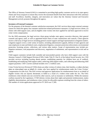The Office of Attorney General (OAG) is committed to providing high quality customer service to its state agency clients and Texas taxpayers to ensure they receive the maximum benefit from their interaction with OAG attorneys and staff. Excellence, humility, integrity, and innovation are values that the Attorney General and Executive Management actively promote throughout the agency.

#### **Inventory of External Customers**

For the purposes of the biennial customer satisfaction assessment, the OAG services three major external customer classes for which the agency has customer satisfaction-related performance measures: (1) legal services clients, (2) clients with child support cases, and (3) eligible crime victims who have applied for and been approved to receive crime victim compensation.

For the 2020 assessment, the legal services client group includes state agency executive directors, their general counsels and agency staff, as well as appointed board chairs of state commissions and councils. Client agencies receive a full array of legal services including general counsel support and legal representation in litigation matters. Litigation support covers a wide variety of matters, including administrative appeals, defense of state agencies and state employees in state and federal courts, employment litigation, consumer protection enforcement, environmental protection, licensing actions, collections, and various other matters. Scope of representation may include prelitigation assistance, trial preparation and discovery, negotiation of settlements, and representation at trial and on appeal.

Child support customers include both custodial and noncustodial parents who have child support cases with the Attorney General's Child Support Division (CSD). Under Title IV, Part D, of the federal Social Security Act, CSD provides services including locating absent parents, establishing paternity for children born out of wedlock, establishing and modifying child support orders, enforcing child support orders, and collecting and disbursing child support payments. CSD's current caseload includes over 1.5 million cases.

Crime Victim Services Division (CVSD) clients are either victims of violent crime, their families, or others who have taken on crime-related costs on behalf of a victim, who have applied for reimbursement under the Crime Victims' Compensation Act (the Act). The OAG reviews and approves applications for reimbursement from or on behalf of eligible victims who are injured, threatened, or killed as a result of a violent crime under the Act. The OAG reimburses crime-related costs not covered by other sources, such as insurance or settlements. Within the statutory confines enacted by the Legislature, CVSD informs victims about their rights and potential reimbursement, makes eligibility determinations, and reimburses crime victims for allowable expenses resulting from the crimes of others. The number of victim applications approved in FY 2019 was 17,585.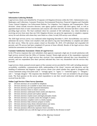#### **Legal Services**

#### **Information Gathering Methods**

Legal services clients were identified by 10 separate civil litigation divisions within the OAG: Administrative Law, Bankruptcy and Collections, Consumer Protection, Environmental Protection, Financial Litigation and Charitable Trusts, General Litigation, Law Enforcement Defense, Tax Litigation, Tort Litigation, and Transportation. These divisions' clients include executive directors, state agency general counsels and client agency staff, as well as appointed board chairs of state commissions and councils with whom the OAG divisions had direct contact when providing legal services. The final combined client list consisted of 642 individuals. Any client identified as receiving services from more than one OAG litigation division was given the opportunity to complete a separate survey for each division with whom they were listed as a client. In total, 839 surveys were offered.

The 2020 legal services survey was conducted online beginning December 9, 2019. SurveyMonkey was used to administer the survey. Clients were emailed a link and asked to log onto SurveyMonkey to complete and submit the short survey. When the survey project closed on December 30, 2019, 219 individuals had responded (34 percent), and 278 surveys had been completed (33 percent of those offered). Results of the legal services client satisfaction assessment are based on this sample.

#### **Customer Satisfaction Assessment: Clients of Legal Services**

In the 278 survey responses that were submitted, client agencies expressed a high rate of overall satisfaction with legal services received from the Office of Attorney General. Ninety-eight percent of the respondents expressed overall satisfaction with the legal services they received. Four respondents indicated they were dissatisfied (1 percent), and two respondents (less than1 percent) indicated they were very dissatisfied with the services they received.

Legal services clients assessed several aspects of the customer service provided by OAG staff, including attorneys' accessibility, availability, communication skills, understanding of the clients' concerns and objectives, and the handling of settlements and litigation. Legal services clients were asked whether they agreed or disagreed with various statements using a five-point scale: 5 - "strongly agree," 4 - "agree," 3 - "somewhat agree," 2 - "disagree," and 1 - "strongly disagree." The responses that identified "NA/don't know" were not included in the percentage totals. The final question on the survey asked respondents to rate their overall satisfaction with legal services received from the OAG.

#### **Online Legal Services Client Survey Questions**

- Q1: Division attorneys are accessible by telephone.
- Q2: Division attorneys are available to meet when necessary.
- Q3: Division attorneys provide requested information.
- Q4: Division attorneys listen to client's concerns.
- Q5: Division attorneys understand client's needs and objectives.
- Q6: Division attorneys present and explore options.
- Q7: Division attorneys explain issues and legal principles clearly
- Q8: Division attorneys accurately assess the strength of case(s).
- Q9: Division attorneys complete work in a timely manner.
- Q10: Division attorneys help witnesses prepare to testify.
- Q11: Division attorneys keep clients informed about case status.
- Q12: Division attorneys negotiate favorable settlements.
- Q13: Division attorneys effectively represent client's interests.
- Q14: How satisfied were you with the legal services provided by the division in total?

*Office of the Attorney General*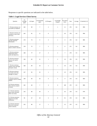Responses to specific questions are indicated in the table below.

|  |  | <b>Table 1: Legal Services Client Survey</b> |
|--|--|----------------------------------------------|
|--|--|----------------------------------------------|

| Question                                                                 | (5)<br>Strongly<br>agree | $(4)$ Agree | (3) Somewhat<br>agree | (2) Disagree   | (1) Strongly<br>disagree | N/A-Don't<br>know | Sum | Average | % Satisfied $(≥3)$ |
|--------------------------------------------------------------------------|--------------------------|-------------|-----------------------|----------------|--------------------------|-------------------|-----|---------|--------------------|
| 1. Division attorneys are<br>accessible by telephone.                    | 164                      | 90          | $\overline{7}$        | $\overline{2}$ | $\mathbf{1}$             | 11                | 275 | 4.6     | 99%                |
| 2. Division attorneys are<br>available to meet when<br>necessary.        | 163                      | 81          | 11                    | $\pmb{0}$      | $\mathbf{1}$             | 20                | 276 | 4.6     | 99%                |
| 3. Division attorneys<br>provide requested<br>information.               | 179                      | 74          | 9                     | 3              | $\mathbf{1}$             | 9                 | 275 | 4.5     | 98%                |
| 4. Division attorneys<br>listen to client's concerns.                    | 178                      | 72          | $\overline{7}$        | 5              | $\mathbf{1}$             | 8                 | 271 | 4.6     | 98%                |
| 5. Division attorneys<br>understand client's<br>needs and objectives.    | 168                      | 77          | 17                    | 3              | $\overline{2}$           | $\overline{7}$    | 274 | 4.5     | 98%                |
| 6. Division attorneys<br>present and explore<br>options.                 | 156                      | 82          | 21                    | $\mathbf{1}$   | $\overline{2}$           | 14                | 276 | 4.5     | 99%                |
| 7. Division attorneys<br>explain issues and legal<br>principles clearly. | 168                      | 84          | 10                    | $\overline{2}$ | $\mathbf{1}$             | 10                | 275 | 4.6     | 99%                |
| 8. Division attorneys<br>accurately assess the<br>strength of case(s).   | 137                      | 92          | 25                    | $\mathbf{1}$   | $\overline{2}$           | 19                | 276 | 4.4     | 99%                |
| 9. Division attorneys<br>complete work in a timely<br>manner.            | 149                      | 84          | 20                    | 6              | 5                        | 9                 | 273 | 4.4     | 96%                |
| 10. Division attorneys<br>help witnesses prepare<br>to testify.          | 102                      | 60          | $\overline{7}$        | 3              | 0                        | 103               | 275 | 4.5     | 98%                |
| 11. Division attorneys<br>keep clients informed<br>about case status.    | 133                      | 80          | 30                    | 5              | $\overline{2}$           | 26                | 276 | 4.4     | 97%                |
| 12. Division attorneys<br>negotiate favorable<br>settlements.            | 95                       | 67          | 18                    | 3              | 0                        | 91                | 274 | 4.4     | 98%                |
| 13. Division attorneys<br>effectively represent<br>client's interests.   | 153                      | 86          | 17                    | $\mathbf{1}$   | 3                        | 15                | 275 | 4.5     | 98%                |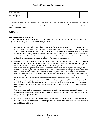| 14. How satisfied were<br>you with the legal<br>173<br>services provided by the<br>division in total? |  | 14 |  |  |  | 276 | 4.5 | 98% |
|-------------------------------------------------------------------------------------------------------|--|----|--|--|--|-----|-----|-----|
|-------------------------------------------------------------------------------------------------------|--|----|--|--|--|-----|-----|-----|

A comment section was also provided for legal services clients. Responses were shared with all levels of management so that any concerns, complaints, or suggestions submitted by clients can be addressed and appropriate plans of action developed.

#### **Child Support**

#### **Information Gathering Methods**

The Child Support Division (CSD) emphasizes continual improvement of customer service by focusing on programs that encourage direct feedback regarding services.

- Customers who visit child support locations around the state are provided customer service surveys, allowing them to give instant feedback regarding the quality of their visit. These cards may be left with the office, placed in a locked customer survey card box in the lobby, or mailed to a central collection site at the CSD State Office. Survey card data is entered into a database, which allows for reports to be run focusing on overall statewide satisfaction or more specific office and regional satisfaction. Survey card comments and trends in satisfaction rates are reviewed by CSD's executive management.
- Customers also express satisfaction with services through the "compliment" option on the Child Support Interactive (CSI) website, personal customer visit, or telephone. These compliments are then logged and tracked with a "kudos" code so positive feedback can be recognized.
- Customers have the opportunity to submit comments, complaints and/or suggestions through the CSI website. Customer suggestions and comments are shared with managers of appropriate business areas for action. Formal complaints are responded to through the agency's ombudsman program, which tracks and resolves complaints at the local office level. If the complaint cannot be resolved at the office level, ombudsmen at the regional and state office level review and resolve the customer complaint. All complaints are documented through the CSD computer system to ensure uniformity throughout the state.
- Recently, a new initiative was launched by CSD executive management which allows internal staff to provide feedback and make suggestions/recommendations regarding the enhancement of processes on a local, regional, and state level. This input is reviewed and possibly assigned to work groups to explore feasibility.
- CSD continues to push all aspects of the organization to reach out to customers and seek feedback on ways processes can be enhanced. External facing surveys have been and will continue to be implemented to make this process as simple as possible.
- As part of this effort, the training division has several courses which focus on this topic and more are being developed which seek to improve or reinforce positive and constructive interaction with all customers of the Child Support Division.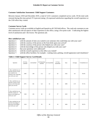#### **Customer Satisfaction Assessment: Child Support Customers**

Between January 2018 and December 2019, a total of 3,551 customers completed survey cards. Of the total cards returned during this time period, 97.6 percent (rating  $\geq$ 3) expressed satisfaction regarding the overall experience at the CSD office they visited.

#### **Customer Survey Cards**

Customer survey cards are available in English and Spanish at all CSD field offices. The cards ask customers to rate their satisfaction with all aspects of their experience at the office, using a five-point scale: 5 indicating the highest level of satisfaction and 1 the lowest. The questions ask:

#### **How satisfied are you:**

| Question 1: with the amount of time you waited to see someone who could help you with your case? |  |  |
|--------------------------------------------------------------------------------------------------|--|--|
|                                                                                                  |  |  |

- Question 2: with the courtesy of the person at the front desk upon your arrival?
- Question 3: with the courtesy of the person who helped you with your case?
- Question 4: with the knowledge of the person who helped you with your case?
- Question 5: that your questions were addressed?
- Question 6: with the overall experience at the office you visited?
- Question 7: with the office facilities: for example—waiting room, parking, overall appearance and cleanliness?

#### **Table 2: Child Support Survey Card Results**

| Question                                                                                                                  | $(5)$ Very<br>satisfied | (4) Satisfied | (3) Somewhat<br>satisfied | (2) Unsatisfied | $(1)$ Very<br>unsatisfied | Sum  | Average | % Satisfied $(≥3)$ |
|---------------------------------------------------------------------------------------------------------------------------|-------------------------|---------------|---------------------------|-----------------|---------------------------|------|---------|--------------------|
| 1. How satisfied are you<br>with the amount of time<br>you waited to see<br>someone who could help<br>you with your case? | 2483                    | 330           | 173                       | 117             | 59                        | 3162 | 4.6     | 94.4%              |
| 2. How satisfied are you<br>with the courtesy of the<br>person at the front desk<br>upon your arrival?                    | 2971                    | 301           | 122                       | 62              | 38                        | 3494 | 4.75    | 97.1%              |
| 3. How satisfied are you<br>with the courtesy of<br>the<br>person who helped you<br>with your case?                       | 3160                    | 165           | 49                        | 42              | 17                        | 3433 | 4.87    | 98.3%              |
| 4. How satisfied are you<br>with the knowledge of<br>the person who helped<br>you with your case?                         | 3120                    | 180           | 59                        | 49              | 18                        | 3426 | 4.85    | 98.1%              |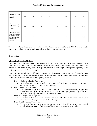| 5. How satisfied are you<br>that your questions were<br>addressed?                                                                         | 3118 | 185 | 57  | 56 | 15 | 3431 | 4.85 | 98%   |
|--------------------------------------------------------------------------------------------------------------------------------------------|------|-----|-----|----|----|------|------|-------|
| 6. How satisfied are you<br>with the overall<br>experience at the office<br>you visited?                                                   | 3050 | 227 | 79  | 60 | 24 | 3440 | 4.8  | 97.6% |
| 7. How satisfied are you<br>with the office facilities:<br>For example—waiting<br>room, parking, overall<br>appearance and<br>cleanliness? | 2970 | 246 | 104 | 35 | 18 | 3373 | 4.81 | 98.5% |

The survey card also directs customers who have additional comments to the CSI website. CSI offers customers the opportunity to submit comments, problems, and suggestions through the website.

#### **Crime Victims**

#### **Information Gathering Methods**

CVSD continues to look for ways to provide the best service to victims of violent crime and their families in Texas. CVSD began utilizing online customer service surveys in 2019 through their recently developed online Crime Victims' Compensation (CVC) Portal. Surveys are presented in both English and Spanish depending on the language preference indicated on the application.

Surveys are automatically presented for online applicants based on specific claim events. Regardless of whether the claim is approved, or a payment is made, every applicant receives at least one survey prompt after the application is submitted. There are four events that will prompt a survey.

- Event 1 Online Application Submission
	- Every online applicant is presented with a survey regarding the online application's accessibility and completion ease immediately after submission.
- Event 2 Application Approval
	- If an application is approved, an email is sent to the victim or claimant identifying an application status change and requesting they log into the CVC Portal. After logging in, they are presented with the second survey regarding application approval timeliness.
- Event 3 30 Days After 1st Payment
	- If a victim or claimant receives a payment, an email with a link to the survey regarding their satisfaction with the payment is sent 30 days after a payment has been made.
- Event 4 90 Days After 1<sup>st</sup> Payment
	- If a victim or claimant receives a payment, an email is sent with a link to a survey regarding their overall satisfaction with the CVC program 90 days after a payment has been made.

*Office of the Attorney General* 100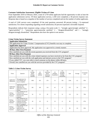#### **Customer Satisfaction Assessment: Eligible Victims of Crime**

From September 2019 to February 2020, a total of 3,759 online applicants had the opportunity to take at least the application submission survey. Of those application surveys, 2,184 were completed, a 58 percent response rate. Response data is based on a snapshot of the number of surveys completed and not the number of online applicants.

A total of 3,345 surveys were completed. Of the total questions answered, 89 percent (rating  $\geq$  3) expressed satisfaction. For clients responding regarding overall satisfaction, 83 percent expressed a favorable response.

Respondents indicate their responses using a using a five-point scale: 5 - "strongly agree/strongly satisfied," 4 - "agree/satisfied," 3 - "somewhat agree/somewhat satisfied," 2 - "disagree/dissatisfied," and 1 - "strongly disagree/strongly dissatisfied." Respondents also have the option to not answer.

#### **Crime Victim Survey Statement**

| <b>Application Submission</b>                                                                        |
|------------------------------------------------------------------------------------------------------|
| The application for Crime Victims' Compensation (CVC) benefits was easy to complete.                 |
| <b>Application Approval</b>                                                                          |
| Application has been approved. My application was approved in a timely manner.                       |
| <b>30 Days After First Payment</b>                                                                   |
| How satisfied are you with the recent payment you received from the CVC program?                     |
| <b>90 Days After First Payment</b>                                                                   |
| How satisfied are you with the crime related expenses you have received so far from the CVC program? |
| How satisfied are you with the web application and internet access to the CVC program?               |
| If you called CVC, you were able to reach someone on the phone within 48 hours.                      |
| Overall, how satisfied are you with the services provided by the CVC program?                        |

| Event                                    | <b>Ouestion</b>                                                                                                  | (5)<br>Strongly<br>Agree/<br>Strongly<br>Satisfied | (4)<br>Agree/<br>Satisfied | (3)<br>Somewhat<br>Agree/<br>Somewhat<br>Satisfied | (2)<br>Disagree/<br>Dissatisfied | (1)<br>Strongly<br>Disagree/<br>Strongly<br>Dissatisfied | Sum  | Average | % Satisfied<br>$(\geq 3)$ |
|------------------------------------------|------------------------------------------------------------------------------------------------------------------|----------------------------------------------------|----------------------------|----------------------------------------------------|----------------------------------|----------------------------------------------------------|------|---------|---------------------------|
| Application<br>Submission                | The application for<br>CVC benefits was<br>easy to complete.                                                     | 1092                                               | 655                        | 274                                                | 33                               | 130                                                      | 2184 | 4.2     | 93%                       |
| Application<br>Approval                  | Application has been<br>approved. My<br>application was<br>approved in a timely<br>manner.                       | 202                                                | 265                        | 116                                                | 42                               | 47                                                       | 672  | 3.8     | 87%                       |
| 30 Days<br>After First<br>Payment        | How satisfied are you<br>with the recent<br>payment you received<br>from the CVC<br>program?                     | 24                                                 | 35                         | 29                                                 | 12                               | 12                                                       | 112  | 3.4     | 79%                       |
| 90 Days<br>After First<br>Payment        | How satisfied are you<br>with the crime related<br>expenses you have<br>received so far from<br>the CVC program? | 18                                                 | 20                         | 22                                                 | 19                               | 11                                                       | 90   | 3.2     | 67%                       |
| 90 Days<br><b>After First</b><br>Payment | How satisfied are you<br>with the web<br>application and<br>internet access to the<br>CVC program?               | 34                                                 | 32                         | 22                                                 | 5                                | 3                                                        | 96   | 3.9     | 92%                       |

#### **Table 3: Crime Victim Survey**

*Office of the Attorney General* 101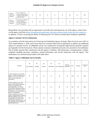| 90 Days<br>After First<br>Payment | If you called CVC,<br>you were able to reach<br>someone on the phone<br>within 48 hours. | 21 | 30 | 22 | 11 | 14 | 98 | 3.3 | 74% |
|-----------------------------------|------------------------------------------------------------------------------------------|----|----|----|----|----|----|-----|-----|
| 90 Days<br>After First<br>Payment | Overall, how satisfied<br>are you with the<br>services provided by<br>the CVC program?   | 21 | 28 | 28 | 11 |    | 93 | 3.6 | 83% |

Respondents were provided with an opportunity to provide more information by use of the agency contact form via the agency web link at [http://texasatt.prod.acquia-sites.com/crime-victims/crime-victim-services-contact-us.](http://texasatt.prod.acquia-sites.com/crime-victims/crime-victim-services-contact-us) In addition, CVSD is reviewing the ability of enhancing the CVC Portal to include direct feedback capabilities.

#### **Agency Customer Service Satisfaction**

In accordance with the *Instructions for Preparing and Submitting Agency Strategic Plans for fiscal years 2021 to 2025* issued February 5, 2020, and to best ensure our external clients had an opportunity to address any additional aspects of customer service, an addendum survey was conducted to incorporate eight specific questions required per Appendix 8 of the *Instructions*. These external customers identified previously were provided a SurveyMonkey link to further measure their satisfaction with the agency's facilities, staff interactions, communications, website, complaint handling processes, timeliness, printed information and overall satisfaction with the agency. This information was assessed and provided in the table below.

| Question                                                                                                                                                                                                                                                                         | (5)<br>Very satisfied | (4)<br>Satisfied | (3)<br>Neutral | (2)<br>Unsatisfied | (1)<br>Very Unsatisfied | N/A-Not<br>Applicable | Sum | Average | % Satisfied<br>(23) |
|----------------------------------------------------------------------------------------------------------------------------------------------------------------------------------------------------------------------------------------------------------------------------------|-----------------------|------------------|----------------|--------------------|-------------------------|-----------------------|-----|---------|---------------------|
| 1. How satisfied are you with the<br>agency's facilities, including your<br>ability to access the agency, the<br>office location, signs, and<br>cleanliness?                                                                                                                     | 97                    | 78               | 37             | 15                 | 32                      | 70                    | 329 | 3.7     | 82%                 |
| 2. How satisfied are you with<br>agency staff, including employee<br>courtesy, friendliness, and<br>knowledgeability, and whether<br>staff members adequately identify<br>themselves to customers by name,<br>including the use of name plates or<br>tags for accountability?    | 143                   | 73               | 21             | 22                 | 38                      | 30                    | 327 | 3.8     | 80%                 |
| 3. How satisfied are you with<br>agency communications, including<br>toll-free telephone access, the<br>average time you spend on hold,<br>call transfers, access to a live<br>person, letters, electronic mail, and<br>any applicable text messaging or<br>mobile applications? | 121                   | 79               | 35             | 24                 | 48                      | 21                    | 328 | 3.7     | 77%                 |

#### **Table 4: Agency Addendum Survey Results**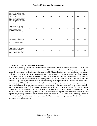| 4. How satisfied are you with the<br>agency's Internet site, including<br>the ease of use of the site, mobile<br>access to the site, information on<br>the location of the site and the<br>agency, and information accessible<br>through the site such as a listing of<br>services and programs and whom<br>to contact for further information<br>or to complain? | 86  | 76 | 57 | 26 | 29 | 55  | 329 | 3.6 | 80% |
|-------------------------------------------------------------------------------------------------------------------------------------------------------------------------------------------------------------------------------------------------------------------------------------------------------------------------------------------------------------------|-----|----|----|----|----|-----|-----|-----|-----|
| 5. How satisfied are you with<br>the agency's complaint handling<br>process, including whether it is<br>easy to file a complaint and<br>whether responses are timely?                                                                                                                                                                                             | 58  | 33 | 38 | 22 | 38 | 139 | 328 | 3.3 | 68% |
| 6. How satisfied are you with the<br>agency's ability to timely serve<br>you, including the amount of time<br>you wait for service in person?                                                                                                                                                                                                                     | 108 | 78 | 33 | 15 | 42 | 52  | 328 | 3.7 | 79% |
| 7. How satisfied are you with the<br>agency's facilities, including<br>your ability to access the agency,<br>the office location, signs, and<br>cleanliness?                                                                                                                                                                                                      | 97  | 78 | 37 | 15 | 32 | 70  | 329 | 3.7 | 82% |

#### **Follow-Up to Customer Satisfaction Assessment**

In addition to providing customers a forum to address concerns that are special to their cases, the OAG also looks for broader indicators that are instructive as Executive Management continues re-evaluating program strategies to ensure all operations are as effective and efficient as possible. The results of the surveys were tabulated and reported to all levels of management. Survey instruments were then provided to division managers. Based on statistical survey results and narrative comments from customers, affected division chiefs are developing responsive action plans. Division chiefs responsible for managing litigation divisions have been tasked with conducting proactive outreach to any client agencies that expressed concerns or suggested improvements to help facilitate candor among respondents. Child Support customers had the option of responding anonymously when surveyed; any customers who identified themselves and expressed concerns are contacted by the appropriate staff in an attempt to resolve whatever issues were identified. In addition, enhancements to the OAG's electronic contact form, Child Support Interactive and CVSD's online portal will be reviewed for possible enhancements to further facilitate survey options and customer service feedback capabilities. The OAG will continue to appraise survey methods to increase customer response rates, including additional electronic interface options for customers. The Office of the Attorney General is committed to performing its duties with excellence and will continue to seek out protocols and methods to meet and surpass our current benchmarks.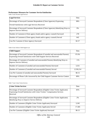#### **Performance Measures for Customer Service/Satisfaction**

Table 5 Goal: Provide Legal Services

| <b>Legal Services</b>                                                                                                | Data   |
|----------------------------------------------------------------------------------------------------------------------|--------|
| Percentage of Surveyed Customer Respondents (Client Agencies) Expressing                                             | 98%    |
| <b>Overall Satisfaction with Legal Services Received</b>                                                             |        |
| Percentage of Surveyed Customer Respondents (Client Agencies) Identifying Ways to<br><b>Improve Service Delivery</b> | 9%     |
| Number of Customers (Client agency heads and/or agency counsel) Surveyed                                             | 278    |
| Number of Customers (Client agency heads and/or agency counsel) Served                                               | 642    |
| Cost Per Customer (Client Agency) Surveyed                                                                           | \$2.57 |

#### Table 6 Goal: Enforce Child Support Law

| <b>Child Support</b>                                                             | Data      |
|----------------------------------------------------------------------------------|-----------|
| Percentage of Surveyed Customer Respondents (Custodial and noncustodial Parents) | 97.6%     |
| Expressing Overall Satisfaction with Child Support Services Received             |           |
| Percentage of Customers (Custodial and noncustodial Parents) Identifying Ways to | ${<}1\%$  |
| <b>Improve Service Delivery</b>                                                  |           |
| Number of Customers (Custodial and noncustodial Parents) Surveyed                | 3,351     |
| Number of Customers (Custodial and noncustodial Parents) Served                  | 2,530,214 |
| Cost Per Customer (Custodial and noncustodial Parents) Surveyed                  | \$0.15    |
| Percentage of Phone Calls Answered by the Child Support Customer Service Centers | 89%       |

Table 7 Goal: Crime Victim Services

| <b>Crime Victim Services</b>                                                                                                                                            | Data   |
|-------------------------------------------------------------------------------------------------------------------------------------------------------------------------|--------|
| Percentage of Surveyed Customer Respondents (Eligible Crime Victim Applicants)<br>Expressing Overall Satisfaction with Crime Victims' Compensation Services<br>Received | 83%    |
| Percentage of Surveyed Customer Respondents (Eligible Crime Victim Applicants)<br>Identifying Ways to Improve Service Delivery                                          | 2%     |
| Number of Customers (Eligible Crime Victim Applicants) Surveyed                                                                                                         | 3,345  |
| Number of Customers (Eligible Crime Victim Applicants) Served                                                                                                           | 17,585 |
| Cost Per Customer (Eligible Crime Victim Applicant) Surveyed                                                                                                            | \$0.15 |

# *Office of the Attorney General*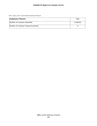Table 7 Agency-wide: Customer-Related Explanatory Measures

| <b>Explanatory Measure</b>            | Data      |
|---------------------------------------|-----------|
| Number of Customers Identified        | 2,548,441 |
| Number of Customer Groups Inventoried |           |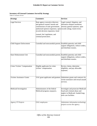## **Inventory of External Customers Served By Strategy**

Table 8: Customers Served

| <b>Strategy</b>                  | <b>Customers</b>                                                                                                                                                                                                                                                            | <b>Services</b>                                                                                                                 |
|----------------------------------|-----------------------------------------------------------------------------------------------------------------------------------------------------------------------------------------------------------------------------------------------------------------------------|---------------------------------------------------------------------------------------------------------------------------------|
| <b>Legal Services</b>            | State agency executive directors<br>and general counsel, boards and<br>commissions of state government,<br>authorized opinion requestors, open records rulings, bond review.<br>records decision requestors, bond<br>counsel, the Legislature, and<br>criminal prosecutors. | Legal counsel, litigation, and<br>alternative dispute resolution;<br>attorney general opinions, open                            |
| Child Support Enforcement        | Custodial and noncustodial parents. Establish paternity and child                                                                                                                                                                                                           | support obligations, enforce orders,<br>and distribute monies.                                                                  |
| <b>State Disbursement Unit</b>   | Custodial and noncustodial parents. Establish paternity and child                                                                                                                                                                                                           | support obligations, enforce orders,<br>and distribute monies.                                                                  |
| Crime Victims' Compensation      | Eligible applicants for crime<br>victims' compensation.                                                                                                                                                                                                                     | Review claims, determine<br>eligibility, and pay allowable<br>expenses.                                                         |
| <b>Victims Assistance Grants</b> |                                                                                                                                                                                                                                                                             | VAG grant applicants and grantees. Administer grants and contracts for<br>victim assistance and sexual assault<br>services.     |
| Medicaid Investigation           | Administrators of the federal<br>Medicaid program, taxpayers.                                                                                                                                                                                                               | Investigate and prosecute Medicaid<br>fraud and criminal abuse and<br>neglect in Medicaid-funded long-<br>term care facilities. |
| <b>Agency IT Projects</b>        | OAG employees                                                                                                                                                                                                                                                               | Administer information technology<br>projects across the agency.                                                                |